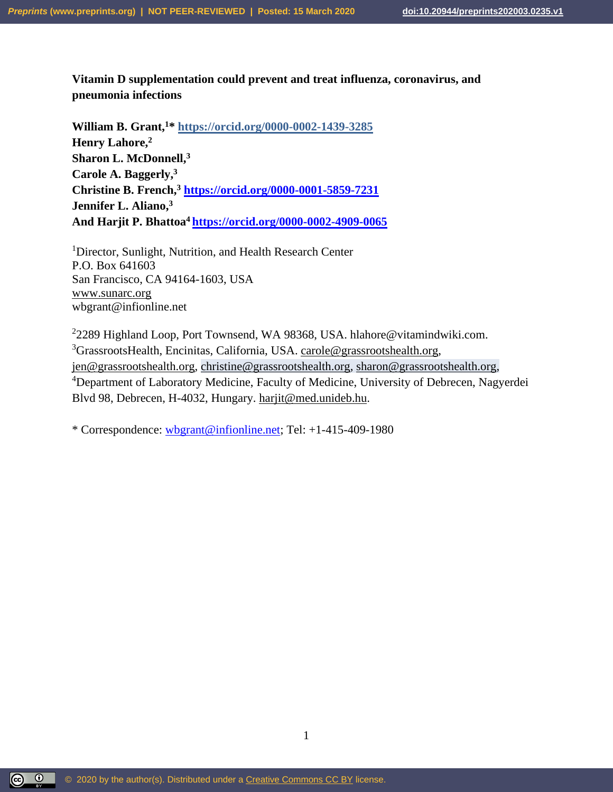# **Vitamin D supplementation could prevent and treat influenza, coronavirus, and pneumonia infections**

**William B. Grant, <sup>1</sup>\* https://orcid.org/0000-0002-1439-3285 Henry Lahore, 2 Sharon L. McDonnell, 3 Carole A. Baggerly, 3 Christine B. French,<sup>3</sup> <https://orcid.org/0000-0001-5859-7231> Jennifer L. Aliano,<sup>3</sup> And Harjit P. Bhattoa<sup>4</sup> <https://orcid.org/0000-0002-4909-0065>**

<sup>1</sup>Director, Sunlight, Nutrition, and Health Research Center P.O. Box 641603 San Francisco, CA 94164-1603, USA [www.sunarc.org](http://www.sunarc.org/) wbgrant@infionline.net

<sup>2</sup>2289 Highland Loop, Port Townsend, WA 98368, USA. hlahore@vitamindwiki.com. <sup>3</sup>GrassrootsHealth, Encinitas, California, USA. [carole@grassrootshealth.org,](mailto:carole@grassrootshealth.org) [jen@grassrootshealth.org,](mailto:jen@grassrootshealth.org) [christine@grassrootshealth.org,](mailto:christine@grassrootshealth.org) [sharon@grassrootshealth.org,](mailto:sharon@grassrootshealth.org) <sup>4</sup>Department of Laboratory Medicine, Faculty of Medicine, University of Debrecen, Nagyerdei Blvd 98, Debrecen, H-4032, Hungary. [harjit@med.unideb.hu.](mailto:harjit@med.unideb.hu)

\* Correspondence: [wbgrant@infionline.net;](mailto:wbgrant@infionline.net) Tel: +1-415-409-1980

1

 $\boxed{\odot}$   $\boxed{0}$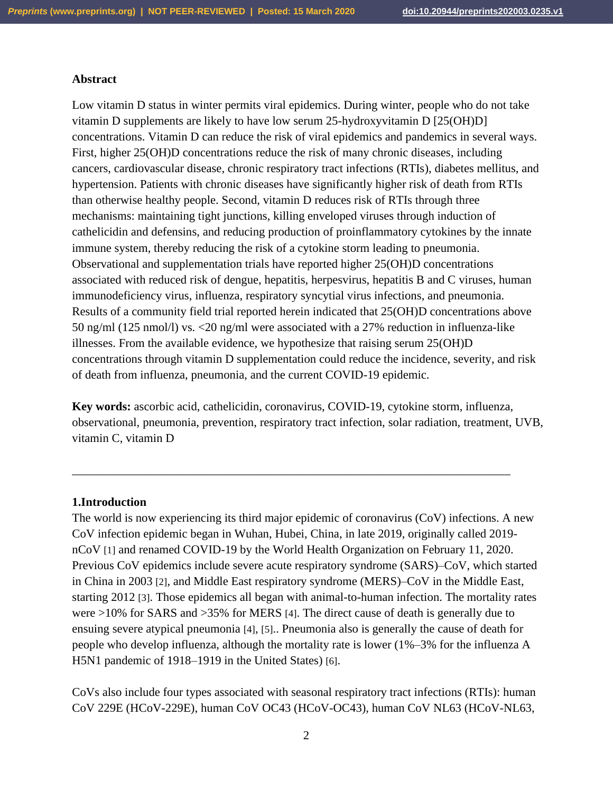## **Abstract**

Low vitamin D status in winter permits viral epidemics. During winter, people who do not take vitamin D supplements are likely to have low serum 25-hydroxyvitamin D [25(OH)D] concentrations. Vitamin D can reduce the risk of viral epidemics and pandemics in several ways. First, higher 25(OH)D concentrations reduce the risk of many chronic diseases, including cancers, cardiovascular disease, chronic respiratory tract infections (RTIs), diabetes mellitus, and hypertension. Patients with chronic diseases have significantly higher risk of death from RTIs than otherwise healthy people. Second, vitamin D reduces risk of RTIs through three mechanisms: maintaining tight junctions, killing enveloped viruses through induction of cathelicidin and defensins, and reducing production of proinflammatory cytokines by the innate immune system, thereby reducing the risk of a cytokine storm leading to pneumonia. Observational and supplementation trials have reported higher 25(OH)D concentrations associated with reduced risk of dengue, hepatitis, herpesvirus, hepatitis B and C viruses, human immunodeficiency virus, influenza, respiratory syncytial virus infections, and pneumonia. Results of a community field trial reported herein indicated that 25(OH)D concentrations above 50 ng/ml (125 nmol/l) vs. <20 ng/ml were associated with a 27% reduction in influenza-like illnesses. From the available evidence, we hypothesize that raising serum 25(OH)D concentrations through vitamin D supplementation could reduce the incidence, severity, and risk of death from influenza, pneumonia, and the current COVID-19 epidemic.

**Key words:** ascorbic acid, cathelicidin, coronavirus, COVID-19, cytokine storm, influenza, observational, pneumonia, prevention, respiratory tract infection, solar radiation, treatment, UVB, vitamin C, vitamin D

\_\_\_\_\_\_\_\_\_\_\_\_\_\_\_\_\_\_\_\_\_\_\_\_\_\_\_\_\_\_\_\_\_\_\_\_\_\_\_\_\_\_\_\_\_\_\_\_\_\_\_\_\_\_\_\_\_\_\_\_\_\_\_\_\_\_\_\_\_\_\_\_\_

#### **1.Introduction**

The world is now experiencing its third major epidemic of coronavirus (CoV) infections. A new CoV infection epidemic began in Wuhan, Hubei, China, in late 2019, originally called 2019 nCoV [1] and renamed COVID-19 by the World Health Organization on February 11, 2020. Previous CoV epidemics include severe acute respiratory syndrome (SARS)–CoV, which started in China in 2003 [2], and Middle East respiratory syndrome (MERS)–CoV in the Middle East, starting 2012 [3]. Those epidemics all began with animal-to-human infection. The mortality rates were >10% for SARS and >35% for MERS [4]. The direct cause of death is generally due to ensuing severe atypical pneumonia [4], [5].. Pneumonia also is generally the cause of death for people who develop influenza, although the mortality rate is lower (1%–3% for the influenza A H5N1 pandemic of 1918–1919 in the United States) [6].

CoVs also include four types associated with seasonal respiratory tract infections (RTIs): human CoV 229E (HCoV-229E), human CoV OC43 (HCoV-OC43), human CoV NL63 (HCoV-NL63,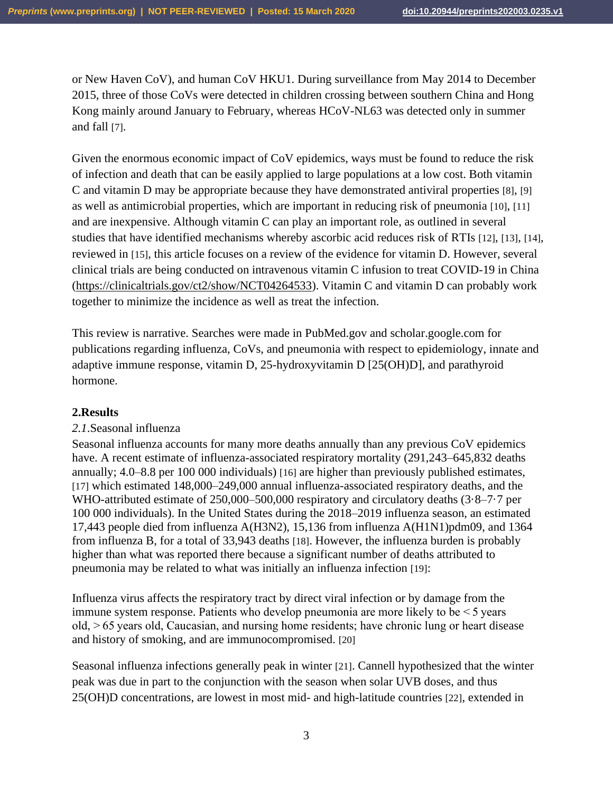or New Haven CoV), and human CoV HKU1. During surveillance from May 2014 to December 2015, three of those CoVs were detected in children crossing between southern China and Hong Kong mainly around January to February, whereas HCoV-NL63 was detected only in summer and fall [7].

Given the enormous economic impact of CoV epidemics, ways must be found to reduce the risk of infection and death that can be easily applied to large populations at a low cost. Both vitamin C and vitamin D may be appropriate because they have demonstrated antiviral properties [8], [9] as well as antimicrobial properties, which are important in reducing risk of pneumonia [10], [11] and are inexpensive. Although vitamin C can play an important role, as outlined in several studies that have identified mechanisms whereby ascorbic acid reduces risk of RTIs [12], [13], [14], reviewed in [15], this article focuses on a review of the evidence for vitamin D. However, several clinical trials are being conducted on intravenous vitamin C infusion to treat COVID-19 in China [\(https://clinicaltrials.gov/ct2/show/NCT04264533\)](https://clinicaltrials.gov/ct2/show/NCT04264533). Vitamin C and vitamin D can probably work together to minimize the incidence as well as treat the infection.

This review is narrative. Searches were made in PubMed.gov and scholar.google.com for publications regarding influenza, CoVs, and pneumonia with respect to epidemiology, innate and adaptive immune response, vitamin D, 25-hydroxyvitamin D [25(OH)D], and parathyroid hormone.

#### **2.Results**

#### *2.1*.Seasonal influenza

Seasonal influenza accounts for many more deaths annually than any previous CoV epidemics have. A recent estimate of influenza-associated respiratory mortality (291,243–645,832 deaths annually; 4.0–8.8 per 100 000 individuals) [16] are higher than previously published estimates, [17] which estimated 148,000–249,000 annual influenza-associated respiratory deaths, and the WHO-attributed estimate of 250,000–500,000 respiratory and circulatory deaths (3·8–7·7 per 100 000 individuals). In the United States during the 2018–2019 influenza season, an estimated 17,443 people died from influenza A(H3N2), 15,136 from influenza A(H1N1)pdm09, and 1364 from influenza B, for a total of 33,943 deaths [18]. However, the influenza burden is probably higher than what was reported there because a significant number of deaths attributed to pneumonia may be related to what was initially an influenza infection [19]:

Influenza virus affects the respiratory tract by direct viral infection or by damage from the immune system response. Patients who develop pneumonia are more likely to be  $\leq$  5 years old, > 65 years old, Caucasian, and nursing home residents; have chronic lung or heart disease and history of smoking, and are immunocompromised. [20]

Seasonal influenza infections generally peak in winter [21]. Cannell hypothesized that the winter peak was due in part to the conjunction with the season when solar UVB doses, and thus 25(OH)D concentrations, are lowest in most mid- and high-latitude countries [22], extended in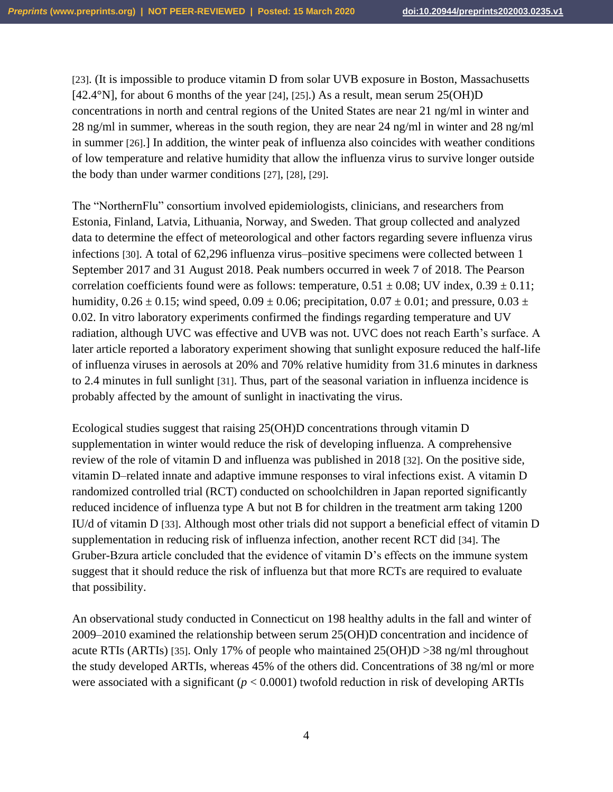[23]. (It is impossible to produce vitamin D from solar UVB exposure in Boston, Massachusetts [42.4°N], for about 6 months of the year [24], [25].) As a result, mean serum  $25(OH)D$ concentrations in north and central regions of the United States are near 21 ng/ml in winter and 28 ng/ml in summer, whereas in the south region, they are near 24 ng/ml in winter and 28 ng/ml in summer [26].] In addition, the winter peak of influenza also coincides with weather conditions of low temperature and relative humidity that allow the influenza virus to survive longer outside the body than under warmer conditions [27], [28], [29].

The "NorthernFlu" consortium involved epidemiologists, clinicians, and researchers from Estonia, Finland, Latvia, Lithuania, Norway, and Sweden. That group collected and analyzed data to determine the effect of meteorological and other factors regarding severe influenza virus infections [30]. A total of 62,296 influenza virus–positive specimens were collected between 1 September 2017 and 31 August 2018. Peak numbers occurred in week 7 of 2018. The Pearson correlation coefficients found were as follows: temperature,  $0.51 \pm 0.08$ ; UV index,  $0.39 \pm 0.11$ ; humidity,  $0.26 \pm 0.15$ ; wind speed,  $0.09 \pm 0.06$ ; precipitation,  $0.07 \pm 0.01$ ; and pressure,  $0.03 \pm 0.01$ 0.02. In vitro laboratory experiments confirmed the findings regarding temperature and UV radiation, although UVC was effective and UVB was not. UVC does not reach Earth's surface. A later article reported a laboratory experiment showing that sunlight exposure reduced the half-life of influenza viruses in aerosols at 20% and 70% relative humidity from 31.6 minutes in darkness to 2.4 minutes in full sunlight [31]. Thus, part of the seasonal variation in influenza incidence is probably affected by the amount of sunlight in inactivating the virus.

Ecological studies suggest that raising 25(OH)D concentrations through vitamin D supplementation in winter would reduce the risk of developing influenza. A comprehensive review of the role of vitamin D and influenza was published in 2018 [32]. On the positive side, vitamin D–related innate and adaptive immune responses to viral infections exist. A vitamin D randomized controlled trial (RCT) conducted on schoolchildren in Japan reported significantly reduced incidence of influenza type A but not B for children in the treatment arm taking 1200 IU/d of vitamin D [33]. Although most other trials did not support a beneficial effect of vitamin D supplementation in reducing risk of influenza infection, another recent RCT did [34]. The Gruber-Bzura article concluded that the evidence of vitamin D's effects on the immune system suggest that it should reduce the risk of influenza but that more RCTs are required to evaluate that possibility.

An observational study conducted in Connecticut on 198 healthy adults in the fall and winter of 2009–2010 examined the relationship between serum 25(OH)D concentration and incidence of acute RTIs (ARTIs) [35]. Only 17% of people who maintained 25(OH)D >38 ng/ml throughout the study developed ARTIs, whereas 45% of the others did. Concentrations of 38 ng/ml or more were associated with a significant (*p* < 0.0001) twofold reduction in risk of developing ARTIs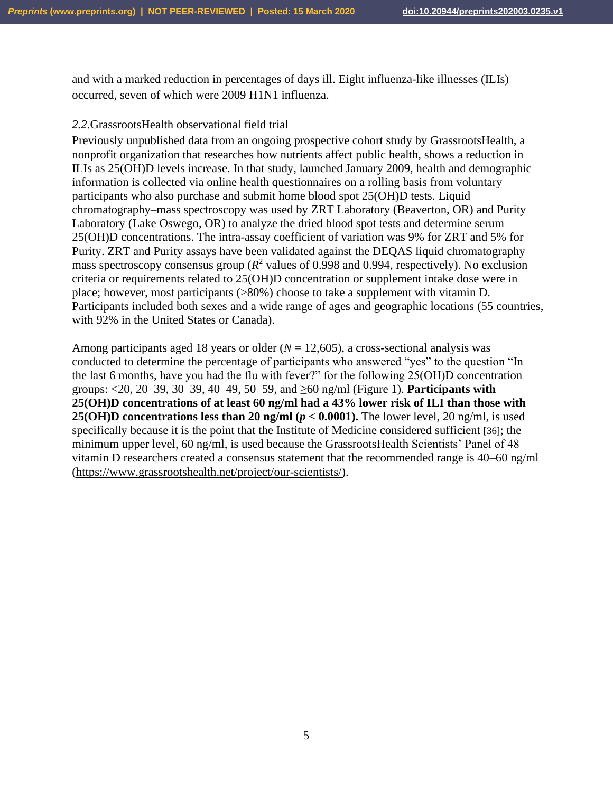and with a marked reduction in percentages of days ill. Eight influenza-like illnesses (ILIs) occurred, seven of which were 2009 H1N1 influenza.

#### *2.2*.GrassrootsHealth observational field trial

Previously unpublished data from an ongoing prospective cohort study by GrassrootsHealth, a nonprofit organization that researches how nutrients affect public health, shows a reduction in ILIs as 25(OH)D levels increase. In that study, launched January 2009, health and demographic information is collected via online health questionnaires on a rolling basis from voluntary participants who also purchase and submit home blood spot 25(OH)D tests. Liquid chromatography–mass spectroscopy was used by ZRT Laboratory (Beaverton, OR) and Purity Laboratory (Lake Oswego, OR) to analyze the dried blood spot tests and determine serum 25(OH)D concentrations. The intra-assay coefficient of variation was 9% for ZRT and 5% for Purity. ZRT and Purity assays have been validated against the DEQAS liquid chromatography– mass spectroscopy consensus group  $(R^2$  values of 0.998 and 0.994, respectively). No exclusion criteria or requirements related to 25(OH)D concentration or supplement intake dose were in place; however, most participants (>80%) choose to take a supplement with vitamin D. Participants included both sexes and a wide range of ages and geographic locations (55 countries, with 92% in the United States or Canada).

Among participants aged 18 years or older  $(N = 12,605)$ , a cross-sectional analysis was conducted to determine the percentage of participants who answered "yes" to the question "In the last 6 months, have you had the flu with fever?" for the following 25(OH)D concentration groups: <20, 20–39, 30–39, 40–49, 50–59, and ≥60 ng/ml (Figure 1). **Participants with 25(OH)D concentrations of at least 60 ng/ml had a 43% lower risk of ILI than those with 25(OH)D concentrations less than 20 ng/ml (** $p < 0.0001$ **). The lower level, 20 ng/ml, is used** specifically because it is the point that the Institute of Medicine considered sufficient [36]; the minimum upper level, 60 ng/ml, is used because the GrassrootsHealth Scientists' Panel of 48 vitamin D researchers created a consensus statement that the recommended range is 40–60 ng/ml [\(https://www.grassrootshealth.net/project/our-scientists/\)](https://www.grassrootshealth.net/project/our-scientists/).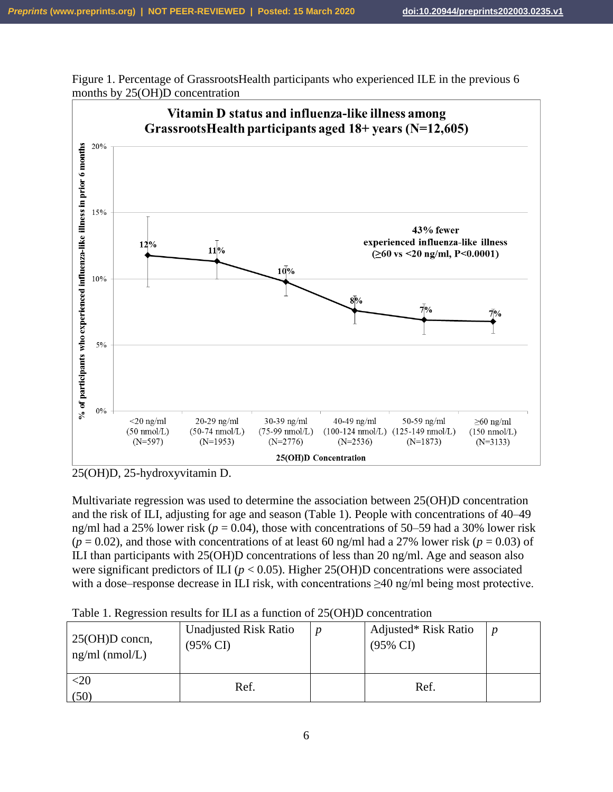Figure 1. Percentage of GrassrootsHealth participants who experienced ILE in the previous 6 months by 25(OH)D concentration



<sup>25(</sup>OH)D, 25-hydroxyvitamin D.

Multivariate regression was used to determine the association between 25(OH)D concentration and the risk of ILI, adjusting for age and season (Table 1). People with concentrations of 40–49 ng/ml had a 25% lower risk ( $p = 0.04$ ), those with concentrations of 50–59 had a 30% lower risk  $(p = 0.02)$ , and those with concentrations of at least 60 ng/ml had a 27% lower risk ( $p = 0.03$ ) of ILI than participants with 25(OH)D concentrations of less than 20 ng/ml. Age and season also were significant predictors of ILI ( $p < 0.05$ ). Higher 25(OH)D concentrations were associated with a dose–response decrease in ILI risk, with concentrations ≥40 ng/ml being most protective.

| $25(OH)D$ concn,<br>$ng/ml$ (nmol/L) | <b>Unadjusted Risk Ratio</b><br>(95% CI) | Adjusted* Risk Ratio<br>$(95\% \text{ CI})$ | n |
|--------------------------------------|------------------------------------------|---------------------------------------------|---|
| $<$ 20<br>(50)                       | Ref.                                     | Ref.                                        |   |

Table 1. Regression results for ILI as a function of 25(OH)D concentration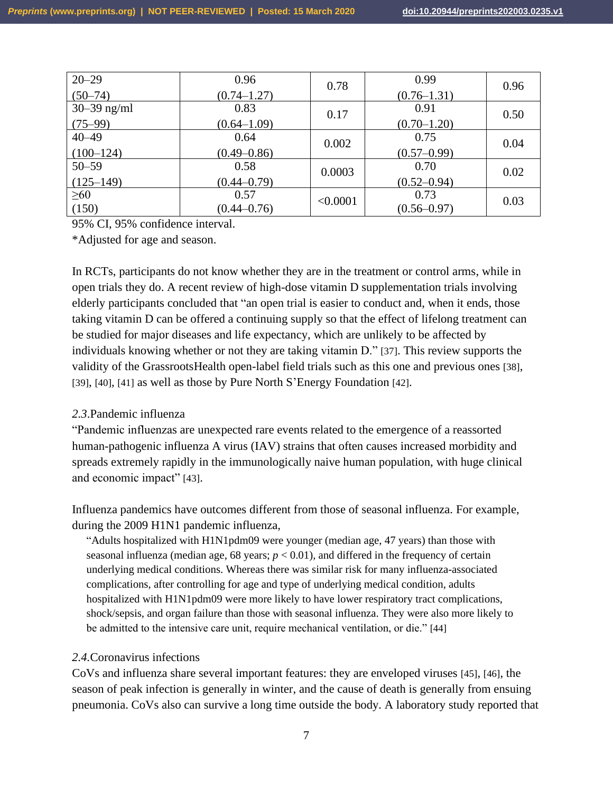| $20 - 29$<br>$(50-74)$       | 0.96<br>$(0.74 - 1.27)$ | 0.78     | 0.99<br>$(0.76 - 1.31)$ | 0.96 |
|------------------------------|-------------------------|----------|-------------------------|------|
| $30 - 39$ ng/ml<br>$(75-99)$ | 0.83<br>$(0.64 - 1.09)$ | 0.17     | 0.91<br>$(0.70 - 1.20)$ | 0.50 |
| $40 - 49$<br>$(100-124)$     | 0.64<br>$(0.49 - 0.86)$ | 0.002    | 0.75<br>$(0.57 - 0.99)$ | 0.04 |
| $50 - 59$<br>$(125-149)$     | 0.58<br>$(0.44 - 0.79)$ | 0.0003   | 0.70<br>$(0.52 - 0.94)$ | 0.02 |
| $\geq 60$<br>(150)           | 0.57<br>$(0.44 - 0.76)$ | < 0.0001 | 0.73<br>$(0.56 - 0.97)$ | 0.03 |

95% CI, 95% confidence interval.

\*Adjusted for age and season.

In RCTs, participants do not know whether they are in the treatment or control arms, while in open trials they do. A recent review of high-dose vitamin D supplementation trials involving elderly participants concluded that "an open trial is easier to conduct and, when it ends, those taking vitamin D can be offered a continuing supply so that the effect of lifelong treatment can be studied for major diseases and life expectancy, which are unlikely to be affected by individuals knowing whether or not they are taking vitamin D." [37]. This review supports the validity of the GrassrootsHealth open-label field trials such as this one and previous ones [38], [39], [40], [41] as well as those by Pure North S'Energy Foundation [42].

## *2.3*.Pandemic influenza

"Pandemic influenzas are unexpected rare events related to the emergence of a reassorted human-pathogenic influenza A virus (IAV) strains that often causes increased morbidity and spreads extremely rapidly in the immunologically naive human population, with huge clinical and economic impact" [43].

Influenza pandemics have outcomes different from those of seasonal influenza. For example, during the 2009 H1N1 pandemic influenza,

"Adults hospitalized with H1N1pdm09 were younger (median age, 47 years) than those with seasonal influenza (median age,  $68$  years;  $p < 0.01$ ), and differed in the frequency of certain underlying medical conditions. Whereas there was similar risk for many influenza-associated complications, after controlling for age and type of underlying medical condition, adults hospitalized with H1N1pdm09 were more likely to have lower respiratory tract complications, shock/sepsis, and organ failure than those with seasonal influenza. They were also more likely to be admitted to the intensive care unit, require mechanical ventilation, or die." [44]

## *2.4.*Coronavirus infections

CoVs and influenza share several important features: they are enveloped viruses [45], [46], the season of peak infection is generally in winter, and the cause of death is generally from ensuing pneumonia. CoVs also can survive a long time outside the body. A laboratory study reported that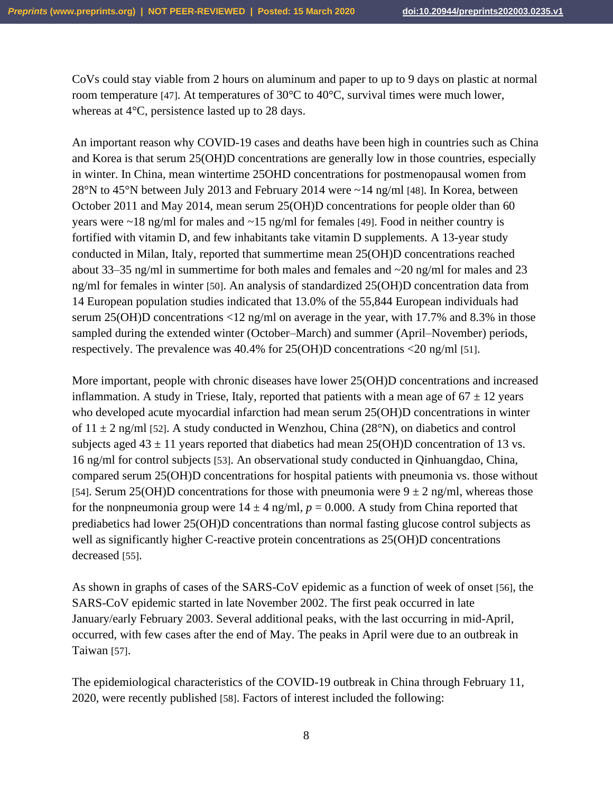CoVs could stay viable from 2 hours on aluminum and paper to up to 9 days on plastic at normal room temperature [47]. At temperatures of 30°C to 40°C, survival times were much lower, whereas at 4°C, persistence lasted up to 28 days.

An important reason why COVID-19 cases and deaths have been high in countries such as China and Korea is that serum 25(OH)D concentrations are generally low in those countries, especially in winter. In China, mean wintertime 25OHD concentrations for postmenopausal women from 28°N to 45°N between July 2013 and February 2014 were ~14 ng/ml [48]. In Korea, between October 2011 and May 2014, mean serum 25(OH)D concentrations for people older than 60 years were  $\sim$ 18 ng/ml for males and  $\sim$ 15 ng/ml for females [49]. Food in neither country is fortified with vitamin D, and few inhabitants take vitamin D supplements. A 13-year study conducted in Milan, Italy, reported that summertime mean 25(OH)D concentrations reached about 33–35 ng/ml in summertime for both males and females and ~20 ng/ml for males and 23 ng/ml for females in winter [50]. An analysis of standardized 25(OH)D concentration data from 14 European population studies indicated that 13.0% of the 55,844 European individuals had serum 25(OH)D concentrations <12 ng/ml on average in the year, with 17.7% and 8.3% in those sampled during the extended winter (October–March) and summer (April–November) periods, respectively. The prevalence was 40.4% for 25(OH)D concentrations <20 ng/ml [51].

More important, people with chronic diseases have lower 25(OH)D concentrations and increased inflammation. A study in Triese, Italy, reported that patients with a mean age of  $67 \pm 12$  years who developed acute myocardial infarction had mean serum 25(OH)D concentrations in winter of  $11 \pm 2$  ng/ml [52]. A study conducted in Wenzhou, China (28°N), on diabetics and control subjects aged  $43 \pm 11$  years reported that diabetics had mean 25(OH)D concentration of 13 vs. 16 ng/ml for control subjects [53]. An observational study conducted in Qinhuangdao, China, compared serum 25(OH)D concentrations for hospital patients with pneumonia vs. those without [54]. Serum 25(OH)D concentrations for those with pneumonia were  $9 \pm 2$  ng/ml, whereas those for the nonpneumonia group were  $14 \pm 4$  ng/ml,  $p = 0.000$ . A study from China reported that prediabetics had lower 25(OH)D concentrations than normal fasting glucose control subjects as well as significantly higher C-reactive protein concentrations as 25(OH)D concentrations decreased [55].

As shown in graphs of cases of the SARS-CoV epidemic as a function of week of onset [56], the SARS-CoV epidemic started in late November 2002. The first peak occurred in late January/early February 2003. Several additional peaks, with the last occurring in mid-April, occurred, with few cases after the end of May. The peaks in April were due to an outbreak in Taiwan [57].

The epidemiological characteristics of the COVID-19 outbreak in China through February 11, 2020, were recently published [58]. Factors of interest included the following: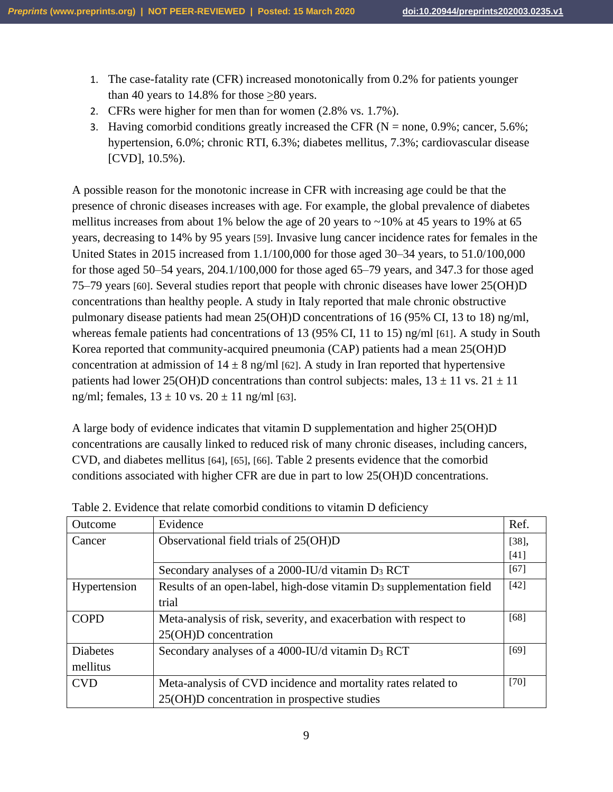- 1. The case-fatality rate (CFR) increased monotonically from 0.2% for patients younger than 40 years to  $14.8\%$  for those  $>80$  years.
- 2. CFRs were higher for men than for women (2.8% vs. 1.7%).
- 3. Having comorbid conditions greatly increased the CFR ( $N = none$ , 0.9%; cancer, 5.6%; hypertension, 6.0%; chronic RTI, 6.3%; diabetes mellitus, 7.3%; cardiovascular disease [CVD], 10.5%).

A possible reason for the monotonic increase in CFR with increasing age could be that the presence of chronic diseases increases with age. For example, the global prevalence of diabetes mellitus increases from about 1% below the age of 20 years to  $\sim$ 10% at 45 years to 19% at 65 years, decreasing to 14% by 95 years [59]. Invasive lung cancer incidence rates for females in the United States in 2015 increased from 1.1/100,000 for those aged 30–34 years, to 51.0/100,000 for those aged 50–54 years, 204.1/100,000 for those aged 65–79 years, and 347.3 for those aged 75–79 years [60]. Several studies report that people with chronic diseases have lower 25(OH)D concentrations than healthy people. A study in Italy reported that male chronic obstructive pulmonary disease patients had mean 25(OH)D concentrations of 16 (95% CI, 13 to 18) ng/ml, whereas female patients had concentrations of 13 (95% CI, 11 to 15) ng/ml [61]. A study in South Korea reported that community-acquired pneumonia (CAP) patients had a mean 25(OH)D concentration at admission of  $14 \pm 8$  ng/ml [62]. A study in Iran reported that hypertensive patients had lower 25(OH)D concentrations than control subjects: males,  $13 \pm 11$  vs.  $21 \pm 11$ ng/ml; females,  $13 \pm 10$  vs.  $20 \pm 11$  ng/ml [63].

A large body of evidence indicates that vitamin D supplementation and higher 25(OH)D concentrations are causally linked to reduced risk of many chronic diseases, including cancers, CVD, and diabetes mellitus [64], [65], [66]. Table 2 presents evidence that the comorbid conditions associated with higher CFR are due in part to low 25(OH)D concentrations.

| Outcome         | Evidence                                                                | Ref.     |
|-----------------|-------------------------------------------------------------------------|----------|
| Cancer          | Observational field trials of 25(OH)D                                   | $[38]$ , |
|                 |                                                                         | [41]     |
|                 | Secondary analyses of a 2000-IU/d vitamin D <sub>3</sub> RCT            | [67]     |
| Hypertension    | Results of an open-label, high-dose vitamin $D_3$ supplementation field | $[42]$   |
|                 | trial                                                                   |          |
| <b>COPD</b>     | Meta-analysis of risk, severity, and exacerbation with respect to       | [68]     |
|                 | 25(OH)D concentration                                                   |          |
| <b>Diabetes</b> | Secondary analyses of a 4000-IU/d vitamin D <sub>3</sub> RCT            | [69]     |
| mellitus        |                                                                         |          |
| <b>CVD</b>      | Meta-analysis of CVD incidence and mortality rates related to           | $[70]$   |
|                 | 25(OH)D concentration in prospective studies                            |          |

Table 2. Evidence that relate comorbid conditions to vitamin D deficiency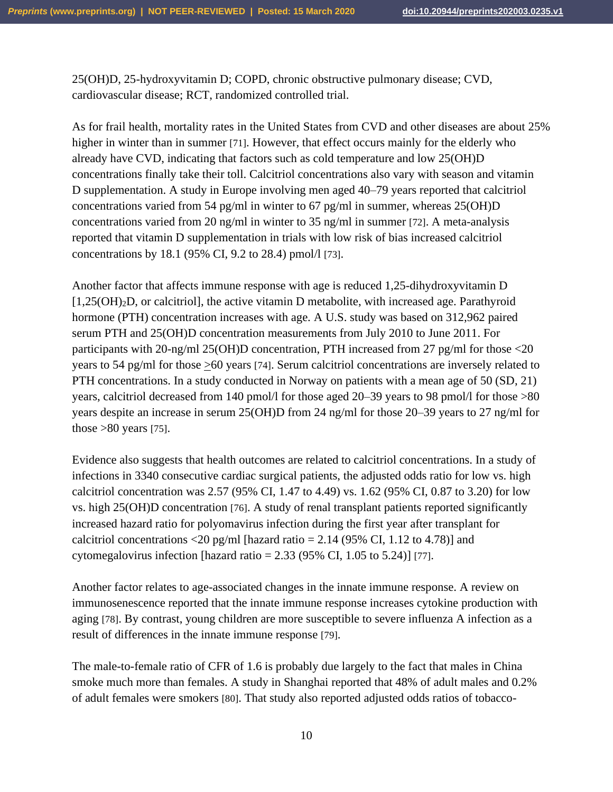25(OH)D, 25-hydroxyvitamin D; COPD, chronic obstructive pulmonary disease; CVD, cardiovascular disease; RCT, randomized controlled trial.

As for frail health, mortality rates in the United States from CVD and other diseases are about 25% higher in winter than in summer [71]. However, that effect occurs mainly for the elderly who already have CVD, indicating that factors such as cold temperature and low 25(OH)D concentrations finally take their toll. Calcitriol concentrations also vary with season and vitamin D supplementation. A study in Europe involving men aged 40–79 years reported that calcitriol concentrations varied from 54 pg/ml in winter to 67 pg/ml in summer, whereas 25(OH)D concentrations varied from 20 ng/ml in winter to 35 ng/ml in summer [72]. A meta-analysis reported that vitamin D supplementation in trials with low risk of bias increased calcitriol concentrations by 18.1 (95% CI, 9.2 to 28.4) pmol/l [73].

Another factor that affects immune response with age is reduced 1,25-dihydroxyvitamin D [1,25(OH)2D, or calcitriol], the active vitamin D metabolite, with increased age. Parathyroid hormone (PTH) concentration increases with age. A U.S. study was based on 312,962 paired serum PTH and 25(OH)D concentration measurements from July 2010 to June 2011. For participants with 20-ng/ml 25(OH)D concentration, PTH increased from 27 pg/ml for those <20 years to 54 pg/ml for those >60 years [74]. Serum calcitriol concentrations are inversely related to PTH concentrations. In a study conducted in Norway on patients with a mean age of 50 (SD, 21) years, calcitriol decreased from 140 pmol/l for those aged 20–39 years to 98 pmol/l for those >80 years despite an increase in serum 25(OH)D from 24 ng/ml for those 20–39 years to 27 ng/ml for those  $>80$  years [75].

Evidence also suggests that health outcomes are related to calcitriol concentrations. In a study of infections in 3340 consecutive cardiac surgical patients, the adjusted odds ratio for low vs. high calcitriol concentration was 2.57 (95% CI, 1.47 to 4.49) vs. 1.62 (95% CI, 0.87 to 3.20) for low vs. high 25(OH)D concentration [76]. A study of renal transplant patients reported significantly increased hazard ratio for polyomavirus infection during the first year after transplant for calcitriol concentrations <20 pg/ml [hazard ratio =  $2.14$  (95% CI, 1.12 to 4.78)] and cytomegalovirus infection [hazard ratio  $= 2.33$  (95% CI, 1.05 to 5.24)] [77].

Another factor relates to age-associated changes in the innate immune response. A review on immunosenescence reported that the innate immune response increases cytokine production with aging [78]. By contrast, young children are more susceptible to severe influenza A infection as a result of differences in the innate immune response [79].

The male-to-female ratio of CFR of 1.6 is probably due largely to the fact that males in China smoke much more than females. A study in Shanghai reported that 48% of adult males and 0.2% of adult females were smokers [80]. That study also reported adjusted odds ratios of tobacco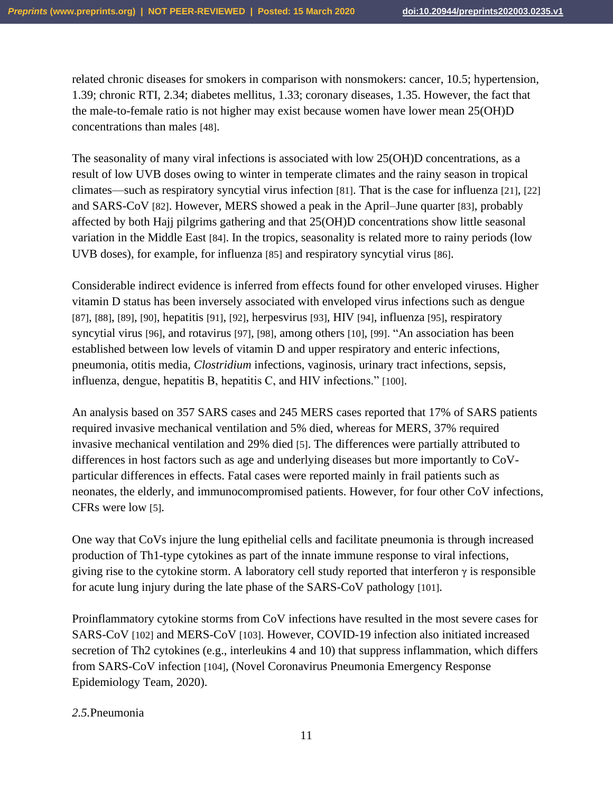related chronic diseases for smokers in comparison with nonsmokers: cancer, 10.5; hypertension, 1.39; chronic RTI, 2.34; diabetes mellitus, 1.33; coronary diseases, 1.35. However, the fact that the male-to-female ratio is not higher may exist because women have lower mean 25(OH)D concentrations than males [48].

The seasonality of many viral infections is associated with low 25(OH)D concentrations, as a result of low UVB doses owing to winter in temperate climates and the rainy season in tropical climates—such as respiratory syncytial virus infection [81]. That is the case for influenza [21], [22] and SARS-CoV [82]. However, MERS showed a peak in the April–June quarter [83], probably affected by both Hajj pilgrims gathering and that 25(OH)D concentrations show little seasonal variation in the Middle East [84]. In the tropics, seasonality is related more to rainy periods (low UVB doses), for example, for influenza [85] and respiratory syncytial virus [86].

Considerable indirect evidence is inferred from effects found for other enveloped viruses. Higher vitamin D status has been inversely associated with enveloped virus infections such as dengue [87], [88], [89], [90], hepatitis [91], [92], herpesvirus [93], HIV [94], influenza [95], respiratory syncytial virus [96], and rotavirus [97], [98], among others [10], [99]. "An association has been established between low levels of vitamin D and upper respiratory and enteric infections, pneumonia, otitis media, *Clostridium* infections, vaginosis, urinary tract infections, sepsis, influenza, dengue, hepatitis B, hepatitis C, and HIV infections." [100].

An analysis based on 357 SARS cases and 245 MERS cases reported that 17% of SARS patients required invasive mechanical ventilation and 5% died, whereas for MERS, 37% required invasive mechanical ventilation and 29% died [5]. The differences were partially attributed to differences in host factors such as age and underlying diseases but more importantly to CoVparticular differences in effects. Fatal cases were reported mainly in frail patients such as neonates, the elderly, and immunocompromised patients. However, for four other CoV infections, CFRs were low [5].

One way that CoVs injure the lung epithelial cells and facilitate pneumonia is through increased production of Th1-type cytokines as part of the innate immune response to viral infections, giving rise to the cytokine storm. A laboratory cell study reported that interferon  $\gamma$  is responsible for acute lung injury during the late phase of the SARS-CoV pathology [101].

Proinflammatory cytokine storms from CoV infections have resulted in the most severe cases for SARS-CoV [102] and MERS-CoV [103]. However, COVID-19 infection also initiated increased secretion of Th2 cytokines (e.g., interleukins 4 and 10) that suppress inflammation, which differs from SARS-CoV infection [104], (Novel Coronavirus Pneumonia Emergency Response Epidemiology Team, 2020).

### *2.5.*Pneumonia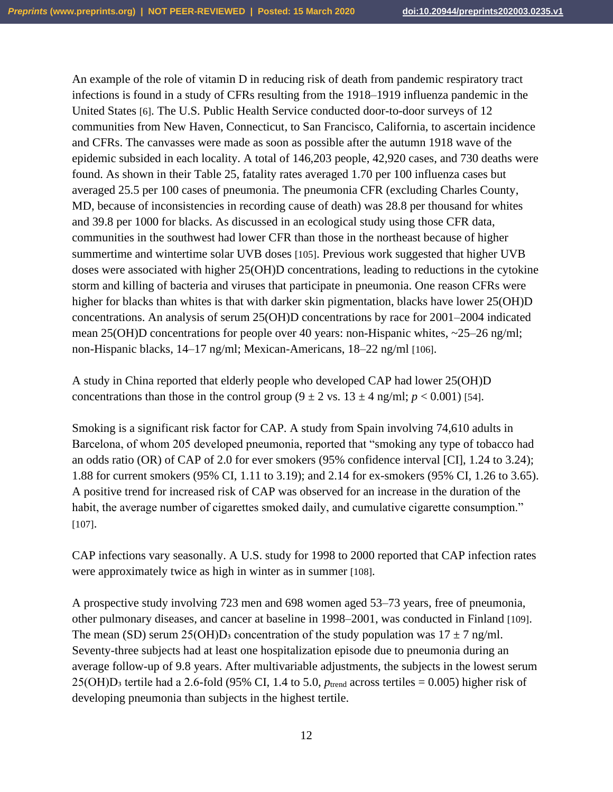An example of the role of vitamin D in reducing risk of death from pandemic respiratory tract infections is found in a study of CFRs resulting from the 1918–1919 influenza pandemic in the United States [6]. The U.S. Public Health Service conducted door-to-door surveys of 12 communities from New Haven, Connecticut, to San Francisco, California, to ascertain incidence and CFRs. The canvasses were made as soon as possible after the autumn 1918 wave of the epidemic subsided in each locality. A total of 146,203 people, 42,920 cases, and 730 deaths were found. As shown in their Table 25, fatality rates averaged 1.70 per 100 influenza cases but averaged 25.5 per 100 cases of pneumonia. The pneumonia CFR (excluding Charles County, MD, because of inconsistencies in recording cause of death) was 28.8 per thousand for whites and 39.8 per 1000 for blacks. As discussed in an ecological study using those CFR data, communities in the southwest had lower CFR than those in the northeast because of higher summertime and wintertime solar UVB doses [105]. Previous work suggested that higher UVB doses were associated with higher 25(OH)D concentrations, leading to reductions in the cytokine storm and killing of bacteria and viruses that participate in pneumonia. One reason CFRs were higher for blacks than whites is that with darker skin pigmentation, blacks have lower 25(OH)D concentrations. An analysis of serum 25(OH)D concentrations by race for 2001–2004 indicated mean 25(OH)D concentrations for people over 40 years: non-Hispanic whites,  $\sim$ 25–26 ng/ml; non-Hispanic blacks, 14–17 ng/ml; Mexican-Americans, 18–22 ng/ml [106].

A study in China reported that elderly people who developed CAP had lower 25(OH)D concentrations than those in the control group  $(9 \pm 2 \text{ vs. } 13 \pm 4 \text{ ng/ml}; p < 0.001)$  [54].

Smoking is a significant risk factor for CAP. A study from Spain involving 74,610 adults in Barcelona, of whom 205 developed pneumonia, reported that "smoking any type of tobacco had an odds ratio (OR) of CAP of 2.0 for ever smokers (95% confidence interval [CI], 1.24 to 3.24); 1.88 for current smokers (95% CI, 1.11 to 3.19); and 2.14 for ex-smokers (95% CI, 1.26 to 3.65). A positive trend for increased risk of CAP was observed for an increase in the duration of the habit, the average number of cigarettes smoked daily, and cumulative cigarette consumption." [107].

CAP infections vary seasonally. A U.S. study for 1998 to 2000 reported that CAP infection rates were approximately twice as high in winter as in summer [108].

A prospective study involving 723 men and 698 women aged 53–73 years, free of pneumonia, other pulmonary diseases, and cancer at baseline in 1998–2001, was conducted in Finland [109]. The mean (SD) serum 25(OH)D<sub>3</sub> concentration of the study population was  $17 \pm 7$  ng/ml. Seventy-three subjects had at least one hospitalization episode due to pneumonia during an average follow-up of 9.8 years. After multivariable adjustments, the subjects in the lowest serum  $25(OH)D<sub>3</sub>$  tertile had a 2.6-fold (95% CI, 1.4 to 5.0,  $p<sub>trend</sub>$  across tertiles = 0.005) higher risk of developing pneumonia than subjects in the highest tertile.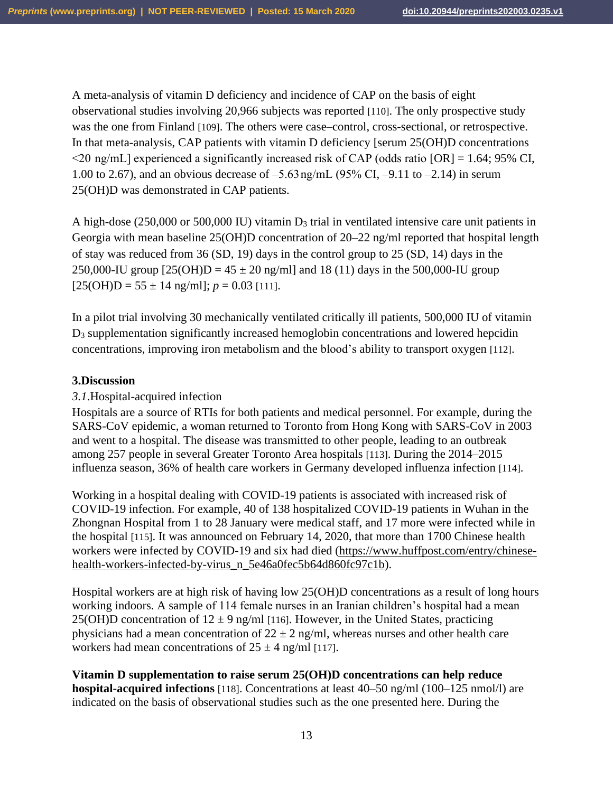A meta-analysis of vitamin D deficiency and incidence of CAP on the basis of eight observational studies involving 20,966 subjects was reported [110]. The only prospective study was the one from Finland [109]. The others were case–control, cross-sectional, or retrospective. In that meta-analysis, CAP patients with vitamin D deficiency [serum 25(OH)D concentrations  $\leq$ 20 ng/mL] experienced a significantly increased risk of CAP (odds ratio [OR] = 1.64; 95% CI, 1.00 to 2.67), and an obvious decrease of –5.63 ng/mL (95% CI, –9.11 to –2.14) in serum 25(OH)D was demonstrated in CAP patients.

A high-dose (250,000 or 500,000 IU) vitamin  $D_3$  trial in ventilated intensive care unit patients in Georgia with mean baseline 25(OH)D concentration of 20–22 ng/ml reported that hospital length of stay was reduced from 36 (SD, 19) days in the control group to 25 (SD, 14) days in the 250,000-IU group  $[25(OH)D = 45 \pm 20$  ng/ml and 18 (11) days in the 500,000-IU group  $[25(OH)D = 55 \pm 14$  ng/ml];  $p = 0.03$  [111].

In a pilot trial involving 30 mechanically ventilated critically ill patients, 500,000 IU of vitamin D<sup>3</sup> supplementation significantly increased hemoglobin concentrations and lowered hepcidin concentrations, improving iron metabolism and the blood's ability to transport oxygen [112].

## **3.Discussion**

### *3.1*.Hospital-acquired infection

Hospitals are a source of RTIs for both patients and medical personnel. For example, during the SARS-CoV epidemic, a woman returned to Toronto from Hong Kong with SARS-CoV in 2003 and went to a hospital. The disease was transmitted to other people, leading to an outbreak among 257 people in several Greater Toronto Area hospitals [113]. During the 2014–2015 influenza season, 36% of health care workers in Germany developed influenza infection [114].

Working in a hospital dealing with COVID-19 patients is associated with increased risk of COVID-19 infection. For example, 40 of 138 hospitalized COVID-19 patients in Wuhan in the Zhongnan Hospital from 1 to 28 January were medical staff, and 17 more were infected while in the hospital [115]. It was announced on February 14, 2020, that more than 1700 Chinese health workers were infected by COVID-19 and six had died [\(https://www.huffpost.com/entry/chinese](https://www.huffpost.com/entry/chinese-health-workers-infected-by-virus_n_5e46a0fec5b64d860fc97c1b)[health-workers-infected-by-virus\\_n\\_5e46a0fec5b64d860fc97c1b\)](https://www.huffpost.com/entry/chinese-health-workers-infected-by-virus_n_5e46a0fec5b64d860fc97c1b).

Hospital workers are at high risk of having low 25(OH)D concentrations as a result of long hours working indoors. A sample of 114 female nurses in an Iranian children's hospital had a mean 25(OH)D concentration of  $12 \pm 9$  ng/ml [116]. However, in the United States, practicing physicians had a mean concentration of  $22 \pm 2$  ng/ml, whereas nurses and other health care workers had mean concentrations of  $25 \pm 4$  ng/ml [117].

#### **Vitamin D supplementation to raise serum 25(OH)D concentrations can help reduce hospital-acquired infections** [118]. Concentrations at least 40–50 ng/ml (100–125 nmol/l) are indicated on the basis of observational studies such as the one presented here. During the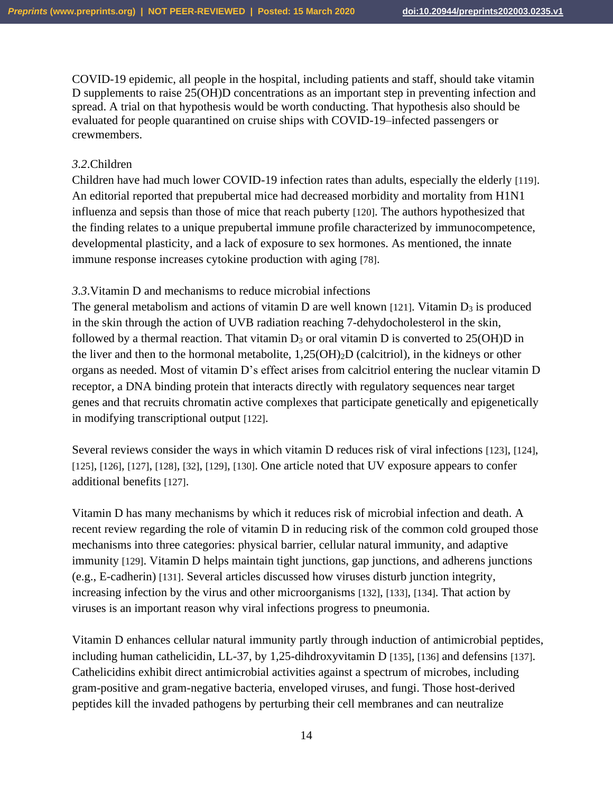COVID-19 epidemic, all people in the hospital, including patients and staff, should take vitamin D supplements to raise 25(OH)D concentrations as an important step in preventing infection and spread. A trial on that hypothesis would be worth conducting. That hypothesis also should be evaluated for people quarantined on cruise ships with COVID-19–infected passengers or crewmembers.

### *3.2*.Children

Children have had much lower COVID-19 infection rates than adults, especially the elderly [119]. An editorial reported that prepubertal mice had decreased morbidity and mortality from H1N1 influenza and sepsis than those of mice that reach puberty [120]. The authors hypothesized that the finding relates to a unique prepubertal immune profile characterized by immunocompetence, developmental plasticity, and a lack of exposure to sex hormones. As mentioned, the innate immune response increases cytokine production with aging [78].

### *3.3*.Vitamin D and mechanisms to reduce microbial infections

The general metabolism and actions of vitamin D are well known [121]. Vitamin  $D_3$  is produced in the skin through the action of UVB radiation reaching 7-dehydocholesterol in the skin, followed by a thermal reaction. That vitamin  $D_3$  or oral vitamin D is converted to 25(OH)D in the liver and then to the hormonal metabolite, 1,25(OH)2D (calcitriol), in the kidneys or other organs as needed. Most of vitamin D's effect arises from calcitriol entering the nuclear vitamin D receptor, a DNA binding protein that interacts directly with regulatory sequences near target genes and that recruits chromatin active complexes that participate genetically and epigenetically in modifying transcriptional output [122].

Several reviews consider the ways in which vitamin D reduces risk of viral infections [123], [124], [125], [126], [127], [128], [32], [129], [130]. One article noted that UV exposure appears to confer additional benefits [127].

Vitamin D has many mechanisms by which it reduces risk of microbial infection and death. A recent review regarding the role of vitamin D in reducing risk of the common cold grouped those mechanisms into three categories: physical barrier, cellular natural immunity, and adaptive immunity [129]. Vitamin D helps maintain tight junctions, gap junctions, and adherens junctions (e.g., E-cadherin) [131]. Several articles discussed how viruses disturb junction integrity, increasing infection by the virus and other microorganisms [132], [133], [134]. That action by viruses is an important reason why viral infections progress to pneumonia.

Vitamin D enhances cellular natural immunity partly through induction of antimicrobial peptides, including human cathelicidin, LL-37, by 1,25-dihdroxyvitamin D [135], [136] and defensins [137]. Cathelicidins exhibit direct antimicrobial activities against a spectrum of microbes, including gram-positive and gram-negative bacteria, enveloped viruses, and fungi. Those host-derived peptides kill the invaded pathogens by perturbing their cell membranes and can neutralize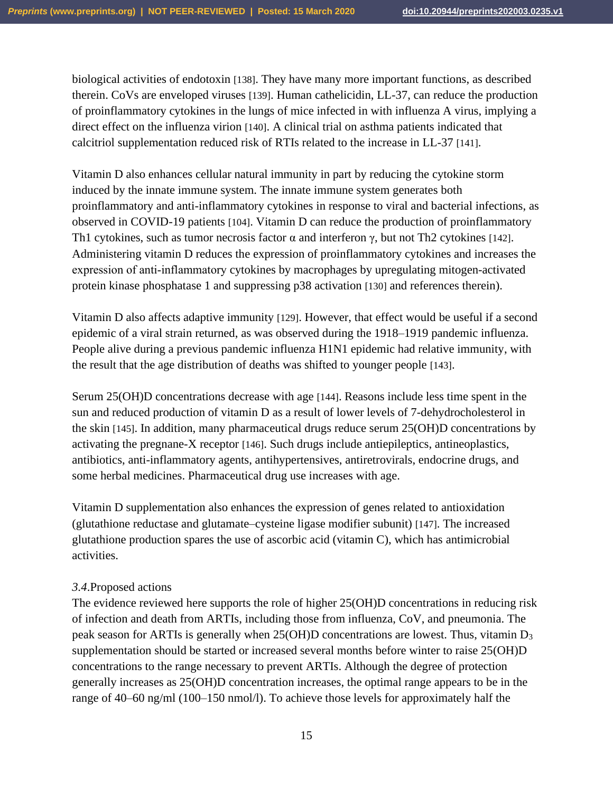biological activities of endotoxin [138]. They have many more important functions, as described therein. CoVs are enveloped viruses [139]. Human cathelicidin, LL-37, can reduce the production of proinflammatory cytokines in the lungs of mice infected in with influenza A virus, implying a direct effect on the influenza virion [140]. A clinical trial on asthma patients indicated that calcitriol supplementation reduced risk of RTIs related to the increase in LL-37 [141].

Vitamin D also enhances cellular natural immunity in part by reducing the cytokine storm induced by the innate immune system. The innate immune system generates both proinflammatory and anti-inflammatory cytokines in response to viral and bacterial infections, as observed in COVID-19 patients [104]. Vitamin D can reduce the production of proinflammatory Th1 cytokines, such as tumor necrosis factor  $\alpha$  and interferon  $\gamma$ , but not Th2 cytokines [142]. Administering vitamin D reduces the expression of proinflammatory cytokines and increases the expression of anti‐inflammatory cytokines by macrophages by upregulating mitogen-activated protein kinase phosphatase 1 and suppressing p38 activation [130] and references therein).

Vitamin D also affects adaptive immunity [129]. However, that effect would be useful if a second epidemic of a viral strain returned, as was observed during the 1918–1919 pandemic influenza. People alive during a previous pandemic influenza H1N1 epidemic had relative immunity, with the result that the age distribution of deaths was shifted to younger people [143].

Serum 25(OH)D concentrations decrease with age [144]. Reasons include less time spent in the sun and reduced production of vitamin D as a result of lower levels of 7-dehydrocholesterol in the skin [145]. In addition, many pharmaceutical drugs reduce serum 25(OH)D concentrations by activating the pregnane-X receptor [146]. Such drugs include antiepileptics, antineoplastics, antibiotics, anti-inflammatory agents, antihypertensives, antiretrovirals, endocrine drugs, and some herbal medicines. Pharmaceutical drug use increases with age.

Vitamin D supplementation also enhances the expression of genes related to antioxidation (glutathione reductase and glutamate–cysteine ligase modifier subunit) [147]. The increased glutathione production spares the use of ascorbic acid (vitamin C), which has antimicrobial activities.

### *3.4*.Proposed actions

The evidence reviewed here supports the role of higher 25(OH)D concentrations in reducing risk of infection and death from ARTIs, including those from influenza, CoV, and pneumonia. The peak season for ARTIs is generally when 25(OH)D concentrations are lowest. Thus, vitamin D<sup>3</sup> supplementation should be started or increased several months before winter to raise 25(OH)D concentrations to the range necessary to prevent ARTIs. Although the degree of protection generally increases as 25(OH)D concentration increases, the optimal range appears to be in the range of 40–60 ng/ml (100–150 nmol/l). To achieve those levels for approximately half the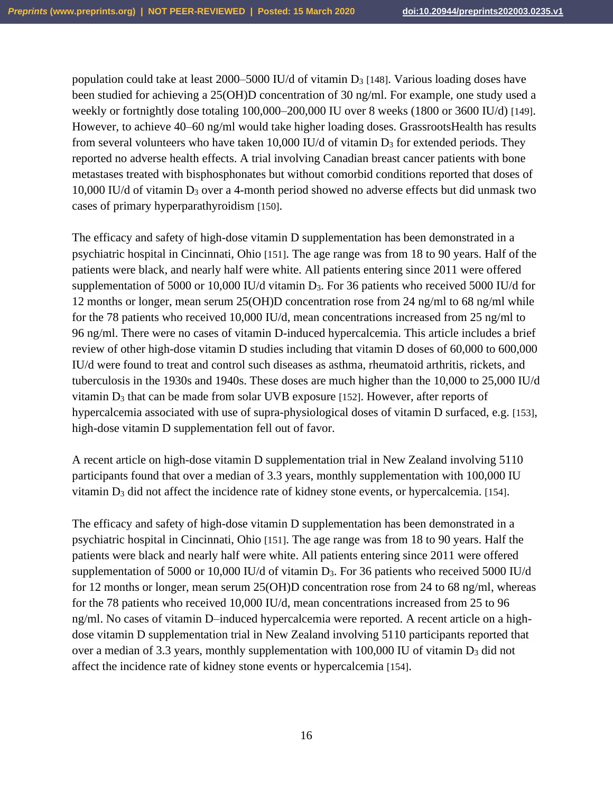population could take at least 2000–5000 IU/d of vitamin  $D_3$  [148]. Various loading doses have been studied for achieving a 25(OH)D concentration of 30 ng/ml. For example, one study used a weekly or fortnightly dose totaling 100,000–200,000 IU over 8 weeks (1800 or 3600 IU/d) [149]. However, to achieve 40–60 ng/ml would take higher loading doses. GrassrootsHealth has results from several volunteers who have taken 10,000 IU/d of vitamin  $D_3$  for extended periods. They reported no adverse health effects. A trial involving Canadian breast cancer patients with bone metastases treated with bisphosphonates but without comorbid conditions reported that doses of 10,000 IU/d of vitamin D<sup>3</sup> over a 4-month period showed no adverse effects but did unmask two cases of primary hyperparathyroidism [150].

The efficacy and safety of high-dose vitamin D supplementation has been demonstrated in a psychiatric hospital in Cincinnati, Ohio [151]. The age range was from 18 to 90 years. Half of the patients were black, and nearly half were white. All patients entering since 2011 were offered supplementation of 5000 or 10,000 IU/d vitamin  $D_3$ . For 36 patients who received 5000 IU/d for 12 months or longer, mean serum 25(OH)D concentration rose from 24 ng/ml to 68 ng/ml while for the 78 patients who received 10,000 IU/d, mean concentrations increased from 25 ng/ml to 96 ng/ml. There were no cases of vitamin D-induced hypercalcemia. This article includes a brief review of other high-dose vitamin D studies including that vitamin D doses of 60,000 to 600,000 IU/d were found to treat and control such diseases as asthma, rheumatoid arthritis, rickets, and tuberculosis in the 1930s and 1940s. These doses are much higher than the 10,000 to 25,000 IU/d vitamin  $D_3$  that can be made from solar UVB exposure [152]. However, after reports of hypercalcemia associated with use of supra-physiological doses of vitamin D surfaced, e.g. [153], high-dose vitamin D supplementation fell out of favor.

A recent article on high-dose vitamin D supplementation trial in New Zealand involving 5110 participants found that over a median of 3.3 years, monthly supplementation with 100,000 IU vitamin D<sub>3</sub> did not affect the incidence rate of kidney stone events, or hypercalcemia. [154].

The efficacy and safety of high-dose vitamin D supplementation has been demonstrated in a psychiatric hospital in Cincinnati, Ohio [151]. The age range was from 18 to 90 years. Half the patients were black and nearly half were white. All patients entering since 2011 were offered supplementation of 5000 or 10,000 IU/d of vitamin D<sub>3</sub>. For 36 patients who received 5000 IU/d for 12 months or longer, mean serum 25(OH)D concentration rose from 24 to 68 ng/ml, whereas for the 78 patients who received 10,000 IU/d, mean concentrations increased from 25 to 96 ng/ml. No cases of vitamin D–induced hypercalcemia were reported. A recent article on a highdose vitamin D supplementation trial in New Zealand involving 5110 participants reported that over a median of 3.3 years, monthly supplementation with 100,000 IU of vitamin D<sup>3</sup> did not affect the incidence rate of kidney stone events or hypercalcemia [154].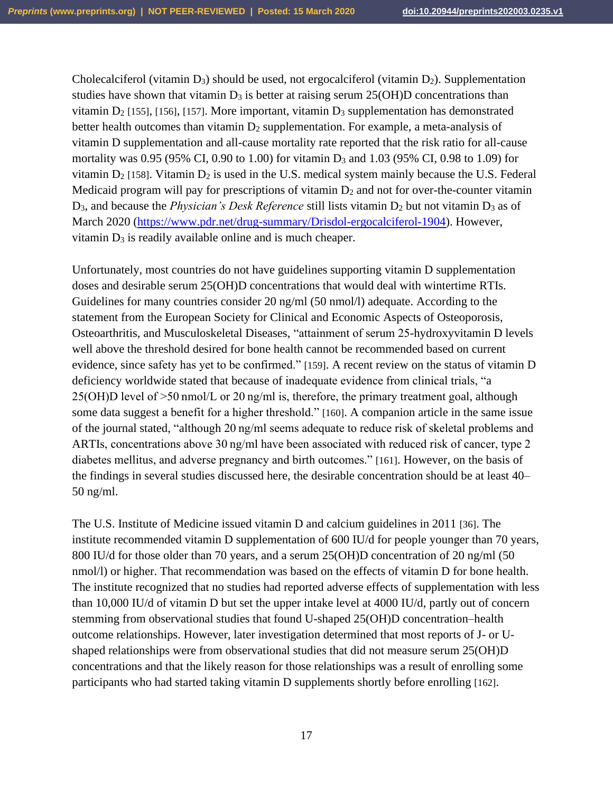Cholecalciferol (vitamin  $D_3$ ) should be used, not ergocalciferol (vitamin  $D_2$ ). Supplementation studies have shown that vitamin  $D_3$  is better at raising serum 25(OH)D concentrations than vitamin  $D_2$  [155], [156], [157]. More important, vitamin  $D_3$  supplementation has demonstrated better health outcomes than vitamin  $D_2$  supplementation. For example, a meta-analysis of vitamin D supplementation and all-cause mortality rate reported that the risk ratio for all-cause mortality was 0.95 (95% CI, 0.90 to 1.00) for vitamin D<sup>3</sup> and 1.03 (95% CI, 0.98 to 1.09) for vitamin  $D_2$  [158]. Vitamin  $D_2$  is used in the U.S. medical system mainly because the U.S. Federal Medicaid program will pay for prescriptions of vitamin  $D_2$  and not for over-the-counter vitamin D<sub>3</sub>, and because the *Physician's Desk Reference* still lists vitamin D<sub>2</sub> but not vitamin D<sub>3</sub> as of March 2020 [\(https://www.pdr.net/drug-summary/Drisdol-ergocalciferol-1904\)](https://www.pdr.net/drug-summary/Drisdol-ergocalciferol-1904). However, vitamin  $D_3$  is readily available online and is much cheaper.

Unfortunately, most countries do not have guidelines supporting vitamin D supplementation doses and desirable serum 25(OH)D concentrations that would deal with wintertime RTIs. Guidelines for many countries consider 20 ng/ml (50 nmol/l) adequate. According to the statement from the European Society for Clinical and Economic Aspects of Osteoporosis, Osteoarthritis, and Musculoskeletal Diseases, "attainment of serum 25-hydroxyvitamin D levels well above the threshold desired for bone health cannot be recommended based on current evidence, since safety has yet to be confirmed." [159]. A recent review on the status of vitamin D deficiency worldwide stated that because of inadequate evidence from clinical trials, "a 25(OH)D level of >50 nmol/L or 20 ng/ml is, therefore, the primary treatment goal, although some data suggest a benefit for a higher threshold." [160]. A companion article in the same issue of the journal stated, "although 20 ng/ml seems adequate to reduce risk of skeletal problems and ARTIs, concentrations above 30 ng/ml have been associated with reduced risk of cancer, type 2 diabetes mellitus, and adverse pregnancy and birth outcomes." [161]. However, on the basis of the findings in several studies discussed here, the desirable concentration should be at least 40– 50 ng/ml.

The U.S. Institute of Medicine issued vitamin D and calcium guidelines in 2011 [36]. The institute recommended vitamin D supplementation of 600 IU/d for people younger than 70 years, 800 IU/d for those older than 70 years, and a serum 25(OH)D concentration of 20 ng/ml (50 nmol/l) or higher. That recommendation was based on the effects of vitamin D for bone health. The institute recognized that no studies had reported adverse effects of supplementation with less than 10,000 IU/d of vitamin D but set the upper intake level at 4000 IU/d, partly out of concern stemming from observational studies that found U-shaped 25(OH)D concentration–health outcome relationships. However, later investigation determined that most reports of J- or Ushaped relationships were from observational studies that did not measure serum 25(OH)D concentrations and that the likely reason for those relationships was a result of enrolling some participants who had started taking vitamin D supplements shortly before enrolling [162].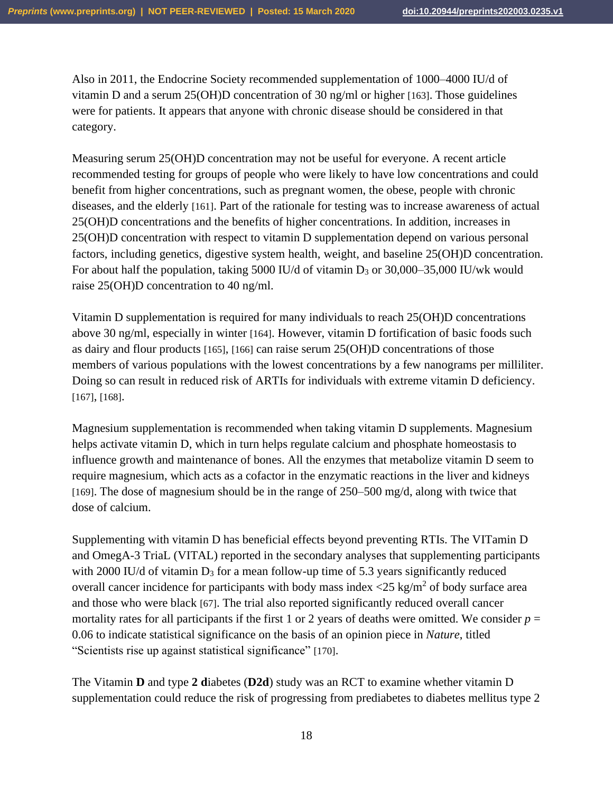Also in 2011, the Endocrine Society recommended supplementation of 1000–4000 IU/d of vitamin D and a serum 25(OH)D concentration of 30 ng/ml or higher [163]. Those guidelines were for patients. It appears that anyone with chronic disease should be considered in that category.

Measuring serum 25(OH)D concentration may not be useful for everyone. A recent article recommended testing for groups of people who were likely to have low concentrations and could benefit from higher concentrations, such as pregnant women, the obese, people with chronic diseases, and the elderly [161]. Part of the rationale for testing was to increase awareness of actual 25(OH)D concentrations and the benefits of higher concentrations. In addition, increases in 25(OH)D concentration with respect to vitamin D supplementation depend on various personal factors, including genetics, digestive system health, weight, and baseline 25(OH)D concentration. For about half the population, taking 5000 IU/d of vitamin  $D_3$  or 30,000–35,000 IU/wk would raise 25(OH)D concentration to 40 ng/ml.

Vitamin D supplementation is required for many individuals to reach 25(OH)D concentrations above 30 ng/ml, especially in winter [164]. However, vitamin D fortification of basic foods such as dairy and flour products [165], [166] can raise serum 25(OH)D concentrations of those members of various populations with the lowest concentrations by a few nanograms per milliliter. Doing so can result in reduced risk of ARTIs for individuals with extreme vitamin D deficiency. [167], [168].

Magnesium supplementation is recommended when taking vitamin D supplements. Magnesium helps activate vitamin D, which in turn helps regulate calcium and phosphate homeostasis to influence growth and maintenance of bones. All the enzymes that metabolize vitamin D seem to require magnesium, which acts as a cofactor in the enzymatic reactions in the liver and kidneys [169]. The dose of magnesium should be in the range of 250–500 mg/d, along with twice that dose of calcium.

Supplementing with vitamin D has beneficial effects beyond preventing RTIs. The VITamin D and OmegA-3 TriaL (VITAL) reported in the secondary analyses that supplementing participants with 2000 IU/d of vitamin  $D_3$  for a mean follow-up time of 5.3 years significantly reduced overall cancer incidence for participants with body mass index  $\langle 25 \text{ kg/m}^2 \rangle$  of body surface area and those who were black [67]. The trial also reported significantly reduced overall cancer mortality rates for all participants if the first 1 or 2 years of deaths were omitted. We consider  $p =$ 0.06 to indicate statistical significance on the basis of an opinion piece in *Nature*, titled "Scientists rise up against statistical significance" [170].

The Vitamin **D** and type 2 **d**iabetes (**D2d**) study was an RCT to examine whether vitamin D supplementation could reduce the risk of progressing from prediabetes to diabetes mellitus type 2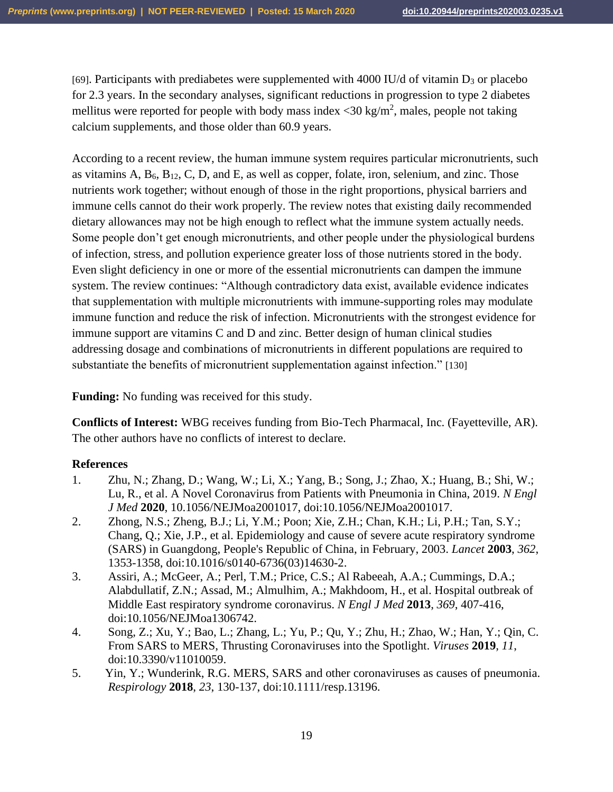[69]. Participants with prediabetes were supplemented with 4000 IU/d of vitamin  $D_3$  or placebo for 2.3 years. In the secondary analyses, significant reductions in progression to type 2 diabetes mellitus were reported for people with body mass index  $\langle 30 \text{ kg/m}^2 \rangle$ , males, people not taking calcium supplements, and those older than 60.9 years.

According to a recent review, the human immune system requires particular micronutrients, such as vitamins  $A, B_6, B_{12}, C, D, and E$ , as well as copper, folate, iron, selenium, and zinc. Those nutrients work together; without enough of those in the right proportions, physical barriers and immune cells cannot do their work properly. The review notes that existing daily recommended dietary allowances may not be high enough to reflect what the immune system actually needs. Some people don't get enough micronutrients, and other people under the physiological burdens of infection, stress, and pollution experience greater loss of those nutrients stored in the body. Even slight deficiency in one or more of the essential micronutrients can dampen the immune system. The review continues: "Although contradictory data exist, available evidence indicates that supplementation with multiple micronutrients with immune-supporting roles may modulate immune function and reduce the risk of infection. Micronutrients with the strongest evidence for immune support are vitamins C and D and zinc. Better design of human clinical studies addressing dosage and combinations of micronutrients in different populations are required to substantiate the benefits of micronutrient supplementation against infection." [130]

**Funding:** No funding was received for this study.

**Conflicts of Interest:** WBG receives funding from Bio-Tech Pharmacal, Inc. (Fayetteville, AR). The other authors have no conflicts of interest to declare.

#### **References**

- 1. Zhu, N.; Zhang, D.; Wang, W.; Li, X.; Yang, B.; Song, J.; Zhao, X.; Huang, B.; Shi, W.; Lu, R., et al. A Novel Coronavirus from Patients with Pneumonia in China, 2019. *N Engl J Med* **2020**, 10.1056/NEJMoa2001017, doi:10.1056/NEJMoa2001017.
- 2. Zhong, N.S.; Zheng, B.J.; Li, Y.M.; Poon; Xie, Z.H.; Chan, K.H.; Li, P.H.; Tan, S.Y.; Chang, Q.; Xie, J.P., et al. Epidemiology and cause of severe acute respiratory syndrome (SARS) in Guangdong, People's Republic of China, in February, 2003. *Lancet* **2003**, *362*, 1353-1358, doi:10.1016/s0140-6736(03)14630-2.
- 3. Assiri, A.; McGeer, A.; Perl, T.M.; Price, C.S.; Al Rabeeah, A.A.; Cummings, D.A.; Alabdullatif, Z.N.; Assad, M.; Almulhim, A.; Makhdoom, H., et al. Hospital outbreak of Middle East respiratory syndrome coronavirus. *N Engl J Med* **2013**, *369*, 407-416, doi:10.1056/NEJMoa1306742.
- 4. Song, Z.; Xu, Y.; Bao, L.; Zhang, L.; Yu, P.; Qu, Y.; Zhu, H.; Zhao, W.; Han, Y.; Qin, C. From SARS to MERS, Thrusting Coronaviruses into the Spotlight. *Viruses* **2019**, *11*, doi:10.3390/v11010059.
- 5. Yin, Y.; Wunderink, R.G. MERS, SARS and other coronaviruses as causes of pneumonia. *Respirology* **2018**, *23*, 130-137, doi:10.1111/resp.13196.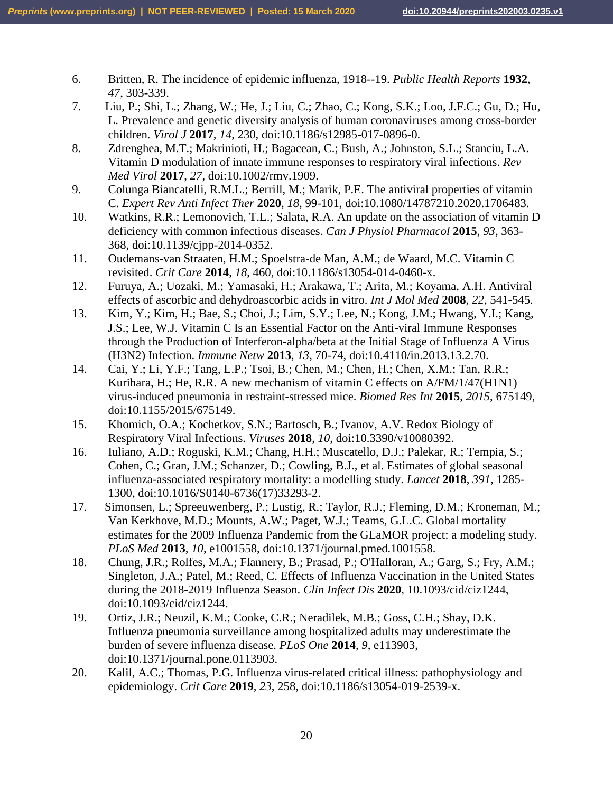- 6. Britten, R. The incidence of epidemic influenza, 1918--19. *Public Health Reports* **1932**, *47*, 303-339.
- 7. Liu, P.; Shi, L.; Zhang, W.; He, J.; Liu, C.; Zhao, C.; Kong, S.K.; Loo, J.F.C.; Gu, D.; Hu, L. Prevalence and genetic diversity analysis of human coronaviruses among cross-border children. *Virol J* **2017**, *14*, 230, doi:10.1186/s12985-017-0896-0.
- 8. Zdrenghea, M.T.; Makrinioti, H.; Bagacean, C.; Bush, A.; Johnston, S.L.; Stanciu, L.A. Vitamin D modulation of innate immune responses to respiratory viral infections. *Rev Med Virol* **2017**, *27*, doi:10.1002/rmv.1909.
- 9. Colunga Biancatelli, R.M.L.; Berrill, M.; Marik, P.E. The antiviral properties of vitamin C. *Expert Rev Anti Infect Ther* **2020**, *18*, 99-101, doi:10.1080/14787210.2020.1706483.
- 10. Watkins, R.R.; Lemonovich, T.L.; Salata, R.A. An update on the association of vitamin D deficiency with common infectious diseases. *Can J Physiol Pharmacol* **2015**, *93*, 363- 368, doi:10.1139/cjpp-2014-0352.
- 11. Oudemans-van Straaten, H.M.; Spoelstra-de Man, A.M.; de Waard, M.C. Vitamin C revisited. *Crit Care* **2014**, *18*, 460, doi:10.1186/s13054-014-0460-x.
- 12. Furuya, A.; Uozaki, M.; Yamasaki, H.; Arakawa, T.; Arita, M.; Koyama, A.H. Antiviral effects of ascorbic and dehydroascorbic acids in vitro. *Int J Mol Med* **2008**, *22*, 541-545.
- 13. Kim, Y.; Kim, H.; Bae, S.; Choi, J.; Lim, S.Y.; Lee, N.; Kong, J.M.; Hwang, Y.I.; Kang, J.S.; Lee, W.J. Vitamin C Is an Essential Factor on the Anti-viral Immune Responses through the Production of Interferon-alpha/beta at the Initial Stage of Influenza A Virus (H3N2) Infection. *Immune Netw* **2013**, *13*, 70-74, doi:10.4110/in.2013.13.2.70.
- 14. Cai, Y.; Li, Y.F.; Tang, L.P.; Tsoi, B.; Chen, M.; Chen, H.; Chen, X.M.; Tan, R.R.; Kurihara, H.; He, R.R. A new mechanism of vitamin C effects on A/FM/1/47(H1N1) virus-induced pneumonia in restraint-stressed mice. *Biomed Res Int* **2015**, *2015*, 675149, doi:10.1155/2015/675149.
- 15. Khomich, O.A.; Kochetkov, S.N.; Bartosch, B.; Ivanov, A.V. Redox Biology of Respiratory Viral Infections. *Viruses* **2018**, *10*, doi:10.3390/v10080392.
- 16. Iuliano, A.D.; Roguski, K.M.; Chang, H.H.; Muscatello, D.J.; Palekar, R.; Tempia, S.; Cohen, C.; Gran, J.M.; Schanzer, D.; Cowling, B.J., et al. Estimates of global seasonal influenza-associated respiratory mortality: a modelling study. *Lancet* **2018**, *391*, 1285- 1300, doi:10.1016/S0140-6736(17)33293-2.
- 17. Simonsen, L.; Spreeuwenberg, P.; Lustig, R.; Taylor, R.J.; Fleming, D.M.; Kroneman, M.; Van Kerkhove, M.D.; Mounts, A.W.; Paget, W.J.; Teams, G.L.C. Global mortality estimates for the 2009 Influenza Pandemic from the GLaMOR project: a modeling study. *PLoS Med* **2013**, *10*, e1001558, doi:10.1371/journal.pmed.1001558.
- 18. Chung, J.R.; Rolfes, M.A.; Flannery, B.; Prasad, P.; O'Halloran, A.; Garg, S.; Fry, A.M.; Singleton, J.A.; Patel, M.; Reed, C. Effects of Influenza Vaccination in the United States during the 2018-2019 Influenza Season. *Clin Infect Dis* **2020**, 10.1093/cid/ciz1244, doi:10.1093/cid/ciz1244.
- 19. Ortiz, J.R.; Neuzil, K.M.; Cooke, C.R.; Neradilek, M.B.; Goss, C.H.; Shay, D.K. Influenza pneumonia surveillance among hospitalized adults may underestimate the burden of severe influenza disease. *PLoS One* **2014**, *9*, e113903, doi:10.1371/journal.pone.0113903.
- 20. Kalil, A.C.; Thomas, P.G. Influenza virus-related critical illness: pathophysiology and epidemiology. *Crit Care* **2019**, *23*, 258, doi:10.1186/s13054-019-2539-x.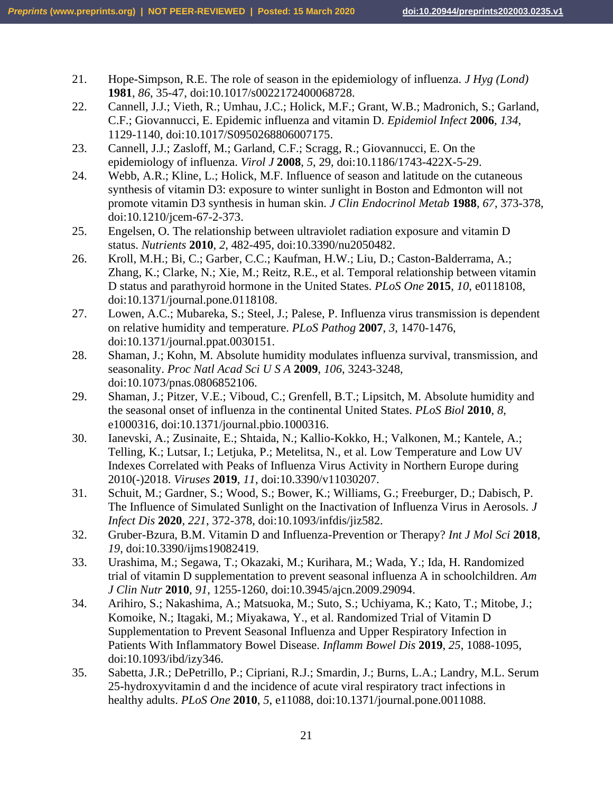- 21. Hope-Simpson, R.E. The role of season in the epidemiology of influenza. *J Hyg (Lond)*  **1981**, *86*, 35-47, doi:10.1017/s0022172400068728.
- 22. Cannell, J.J.; Vieth, R.; Umhau, J.C.; Holick, M.F.; Grant, W.B.; Madronich, S.; Garland, C.F.; Giovannucci, E. Epidemic influenza and vitamin D. *Epidemiol Infect* **2006**, *134*, 1129-1140, doi:10.1017/S0950268806007175.
- 23. Cannell, J.J.; Zasloff, M.; Garland, C.F.; Scragg, R.; Giovannucci, E. On the epidemiology of influenza. *Virol J* **2008**, *5*, 29, doi:10.1186/1743-422X-5-29.
- 24. Webb, A.R.; Kline, L.; Holick, M.F. Influence of season and latitude on the cutaneous synthesis of vitamin D3: exposure to winter sunlight in Boston and Edmonton will not promote vitamin D3 synthesis in human skin. *J Clin Endocrinol Metab* **1988**, *67*, 373-378, doi:10.1210/jcem-67-2-373.
- 25. Engelsen, O. The relationship between ultraviolet radiation exposure and vitamin D status. *Nutrients* **2010**, *2*, 482-495, doi:10.3390/nu2050482.
- 26. Kroll, M.H.; Bi, C.; Garber, C.C.; Kaufman, H.W.; Liu, D.; Caston-Balderrama, A.; Zhang, K.; Clarke, N.; Xie, M.; Reitz, R.E., et al. Temporal relationship between vitamin D status and parathyroid hormone in the United States. *PLoS One* **2015**, *10*, e0118108, doi:10.1371/journal.pone.0118108.
- 27. Lowen, A.C.; Mubareka, S.; Steel, J.; Palese, P. Influenza virus transmission is dependent on relative humidity and temperature. *PLoS Pathog* **2007**, *3*, 1470-1476, doi:10.1371/journal.ppat.0030151.
- 28. Shaman, J.; Kohn, M. Absolute humidity modulates influenza survival, transmission, and seasonality. *Proc Natl Acad Sci U S A* **2009**, *106*, 3243-3248, doi:10.1073/pnas.0806852106.
- 29. Shaman, J.; Pitzer, V.E.; Viboud, C.; Grenfell, B.T.; Lipsitch, M. Absolute humidity and the seasonal onset of influenza in the continental United States. *PLoS Biol* **2010**, *8*, e1000316, doi:10.1371/journal.pbio.1000316.
- 30. Ianevski, A.; Zusinaite, E.; Shtaida, N.; Kallio-Kokko, H.; Valkonen, M.; Kantele, A.; Telling, K.; Lutsar, I.; Letjuka, P.; Metelitsa, N., et al. Low Temperature and Low UV Indexes Correlated with Peaks of Influenza Virus Activity in Northern Europe during 2010(-)2018. *Viruses* **2019**, *11*, doi:10.3390/v11030207.
- 31. Schuit, M.; Gardner, S.; Wood, S.; Bower, K.; Williams, G.; Freeburger, D.; Dabisch, P. The Influence of Simulated Sunlight on the Inactivation of Influenza Virus in Aerosols. *J Infect Dis* **2020**, *221*, 372-378, doi:10.1093/infdis/jiz582.
- 32. Gruber-Bzura, B.M. Vitamin D and Influenza-Prevention or Therapy? *Int J Mol Sci* **2018**, *19*, doi:10.3390/ijms19082419.
- 33. Urashima, M.; Segawa, T.; Okazaki, M.; Kurihara, M.; Wada, Y.; Ida, H. Randomized trial of vitamin D supplementation to prevent seasonal influenza A in schoolchildren. *Am J Clin Nutr* **2010**, *91*, 1255-1260, doi:10.3945/ajcn.2009.29094.
- 34. Arihiro, S.; Nakashima, A.; Matsuoka, M.; Suto, S.; Uchiyama, K.; Kato, T.; Mitobe, J.; Komoike, N.; Itagaki, M.; Miyakawa, Y., et al. Randomized Trial of Vitamin D Supplementation to Prevent Seasonal Influenza and Upper Respiratory Infection in Patients With Inflammatory Bowel Disease. *Inflamm Bowel Dis* **2019**, *25*, 1088-1095, doi:10.1093/ibd/izy346.
- 35. Sabetta, J.R.; DePetrillo, P.; Cipriani, R.J.; Smardin, J.; Burns, L.A.; Landry, M.L. Serum 25-hydroxyvitamin d and the incidence of acute viral respiratory tract infections in healthy adults. *PLoS One* **2010**, *5*, e11088, doi:10.1371/journal.pone.0011088.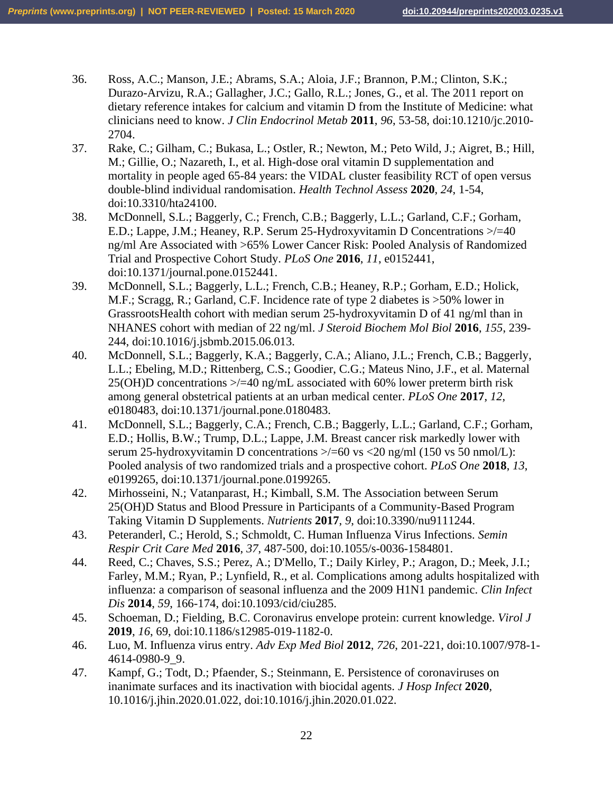- 36. Ross, A.C.; Manson, J.E.; Abrams, S.A.; Aloia, J.F.; Brannon, P.M.; Clinton, S.K.; Durazo-Arvizu, R.A.; Gallagher, J.C.; Gallo, R.L.; Jones, G., et al. The 2011 report on dietary reference intakes for calcium and vitamin D from the Institute of Medicine: what clinicians need to know. *J Clin Endocrinol Metab* **2011**, *96*, 53-58, doi:10.1210/jc.2010- 2704.
- 37. Rake, C.; Gilham, C.; Bukasa, L.; Ostler, R.; Newton, M.; Peto Wild, J.; Aigret, B.; Hill, M.; Gillie, O.; Nazareth, I., et al. High-dose oral vitamin D supplementation and mortality in people aged 65-84 years: the VIDAL cluster feasibility RCT of open versus double-blind individual randomisation. *Health Technol Assess* **2020**, *24*, 1-54, doi:10.3310/hta24100.
- 38. McDonnell, S.L.; Baggerly, C.; French, C.B.; Baggerly, L.L.; Garland, C.F.; Gorham, E.D.; Lappe, J.M.; Heaney, R.P. Serum 25-Hydroxyvitamin D Concentrations >/=40 ng/ml Are Associated with >65% Lower Cancer Risk: Pooled Analysis of Randomized Trial and Prospective Cohort Study. *PLoS One* **2016**, *11*, e0152441, doi:10.1371/journal.pone.0152441.
- 39. McDonnell, S.L.; Baggerly, L.L.; French, C.B.; Heaney, R.P.; Gorham, E.D.; Holick, M.F.; Scragg, R.; Garland, C.F. Incidence rate of type 2 diabetes is >50% lower in GrassrootsHealth cohort with median serum 25-hydroxyvitamin D of 41 ng/ml than in NHANES cohort with median of 22 ng/ml. *J Steroid Biochem Mol Biol* **2016**, *155*, 239- 244, doi:10.1016/j.jsbmb.2015.06.013.
- 40. McDonnell, S.L.; Baggerly, K.A.; Baggerly, C.A.; Aliano, J.L.; French, C.B.; Baggerly, L.L.; Ebeling, M.D.; Rittenberg, C.S.; Goodier, C.G.; Mateus Nino, J.F., et al. Maternal  $25(OH)D$  concentrations  $\geq$  =40 ng/mL associated with 60% lower preterm birth risk among general obstetrical patients at an urban medical center. *PLoS One* **2017**, *12*, e0180483, doi:10.1371/journal.pone.0180483.
- 41. McDonnell, S.L.; Baggerly, C.A.; French, C.B.; Baggerly, L.L.; Garland, C.F.; Gorham, E.D.; Hollis, B.W.; Trump, D.L.; Lappe, J.M. Breast cancer risk markedly lower with serum 25-hydroxyvitamin D concentrations  $\ge$ /=60 vs <20 ng/ml (150 vs 50 nmol/L): Pooled analysis of two randomized trials and a prospective cohort. *PLoS One* **2018**, *13*, e0199265, doi:10.1371/journal.pone.0199265.
- 42. Mirhosseini, N.; Vatanparast, H.; Kimball, S.M. The Association between Serum 25(OH)D Status and Blood Pressure in Participants of a Community-Based Program Taking Vitamin D Supplements. *Nutrients* **2017**, *9*, doi:10.3390/nu9111244.
- 43. Peteranderl, C.; Herold, S.; Schmoldt, C. Human Influenza Virus Infections. *Semin Respir Crit Care Med* **2016**, *37*, 487-500, doi:10.1055/s-0036-1584801.
- 44. Reed, C.; Chaves, S.S.; Perez, A.; D'Mello, T.; Daily Kirley, P.; Aragon, D.; Meek, J.I.; Farley, M.M.; Ryan, P.; Lynfield, R., et al. Complications among adults hospitalized with influenza: a comparison of seasonal influenza and the 2009 H1N1 pandemic. *Clin Infect Dis* **2014**, *59*, 166-174, doi:10.1093/cid/ciu285.
- 45. Schoeman, D.; Fielding, B.C. Coronavirus envelope protein: current knowledge. *Virol J*  **2019**, *16*, 69, doi:10.1186/s12985-019-1182-0.
- 46. Luo, M. Influenza virus entry. *Adv Exp Med Biol* **2012**, *726*, 201-221, doi:10.1007/978-1- 4614-0980-9\_9.
- 47. Kampf, G.; Todt, D.; Pfaender, S.; Steinmann, E. Persistence of coronaviruses on inanimate surfaces and its inactivation with biocidal agents. *J Hosp Infect* **2020**, 10.1016/j.jhin.2020.01.022, doi:10.1016/j.jhin.2020.01.022.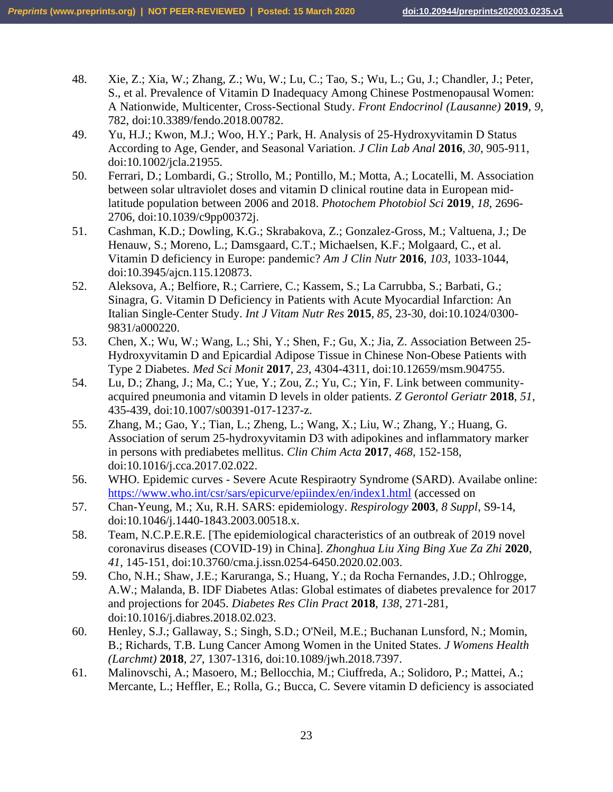- 48. Xie, Z.; Xia, W.; Zhang, Z.; Wu, W.; Lu, C.; Tao, S.; Wu, L.; Gu, J.; Chandler, J.; Peter, S., et al. Prevalence of Vitamin D Inadequacy Among Chinese Postmenopausal Women: A Nationwide, Multicenter, Cross-Sectional Study. *Front Endocrinol (Lausanne)* **2019**, *9*, 782, doi:10.3389/fendo.2018.00782.
- 49. Yu, H.J.; Kwon, M.J.; Woo, H.Y.; Park, H. Analysis of 25-Hydroxyvitamin D Status According to Age, Gender, and Seasonal Variation. *J Clin Lab Anal* **2016**, *30*, 905-911, doi:10.1002/jcla.21955.
- 50. Ferrari, D.; Lombardi, G.; Strollo, M.; Pontillo, M.; Motta, A.; Locatelli, M. Association between solar ultraviolet doses and vitamin D clinical routine data in European midlatitude population between 2006 and 2018. *Photochem Photobiol Sci* **2019**, *18*, 2696- 2706, doi:10.1039/c9pp00372j.
- 51. Cashman, K.D.; Dowling, K.G.; Skrabakova, Z.; Gonzalez-Gross, M.; Valtuena, J.; De Henauw, S.; Moreno, L.; Damsgaard, C.T.; Michaelsen, K.F.; Molgaard, C., et al. Vitamin D deficiency in Europe: pandemic? *Am J Clin Nutr* **2016**, *103*, 1033-1044, doi:10.3945/ajcn.115.120873.
- 52. Aleksova, A.; Belfiore, R.; Carriere, C.; Kassem, S.; La Carrubba, S.; Barbati, G.; Sinagra, G. Vitamin D Deficiency in Patients with Acute Myocardial Infarction: An Italian Single-Center Study. *Int J Vitam Nutr Res* **2015**, *85*, 23-30, doi:10.1024/0300- 9831/a000220.
- 53. Chen, X.; Wu, W.; Wang, L.; Shi, Y.; Shen, F.; Gu, X.; Jia, Z. Association Between 25- Hydroxyvitamin D and Epicardial Adipose Tissue in Chinese Non-Obese Patients with Type 2 Diabetes. *Med Sci Monit* **2017**, *23*, 4304-4311, doi:10.12659/msm.904755.
- 54. Lu, D.; Zhang, J.; Ma, C.; Yue, Y.; Zou, Z.; Yu, C.; Yin, F. Link between communityacquired pneumonia and vitamin D levels in older patients. *Z Gerontol Geriatr* **2018**, *51*, 435-439, doi:10.1007/s00391-017-1237-z.
- 55. Zhang, M.; Gao, Y.; Tian, L.; Zheng, L.; Wang, X.; Liu, W.; Zhang, Y.; Huang, G. Association of serum 25-hydroxyvitamin D3 with adipokines and inflammatory marker in persons with prediabetes mellitus. *Clin Chim Acta* **2017**, *468*, 152-158, doi:10.1016/j.cca.2017.02.022.
- 56. WHO. Epidemic curves Severe Acute Respiraotry Syndrome (SARD). Availabe online: <https://www.who.int/csr/sars/epicurve/epiindex/en/index1.html> (accessed on
- 57. Chan-Yeung, M.; Xu, R.H. SARS: epidemiology. *Respirology* **2003**, *8 Suppl*, S9-14, doi:10.1046/j.1440-1843.2003.00518.x.
- 58. Team, N.C.P.E.R.E. [The epidemiological characteristics of an outbreak of 2019 novel coronavirus diseases (COVID-19) in China]. *Zhonghua Liu Xing Bing Xue Za Zhi* **2020**, *41*, 145-151, doi:10.3760/cma.j.issn.0254-6450.2020.02.003.
- 59. Cho, N.H.; Shaw, J.E.; Karuranga, S.; Huang, Y.; da Rocha Fernandes, J.D.; Ohlrogge, A.W.; Malanda, B. IDF Diabetes Atlas: Global estimates of diabetes prevalence for 2017 and projections for 2045. *Diabetes Res Clin Pract* **2018**, *138*, 271-281, doi:10.1016/j.diabres.2018.02.023.
- 60. Henley, S.J.; Gallaway, S.; Singh, S.D.; O'Neil, M.E.; Buchanan Lunsford, N.; Momin, B.; Richards, T.B. Lung Cancer Among Women in the United States. *J Womens Health (Larchmt)* **2018**, *27*, 1307-1316, doi:10.1089/jwh.2018.7397.
- 61. Malinovschi, A.; Masoero, M.; Bellocchia, M.; Ciuffreda, A.; Solidoro, P.; Mattei, A.; Mercante, L.; Heffler, E.; Rolla, G.; Bucca, C. Severe vitamin D deficiency is associated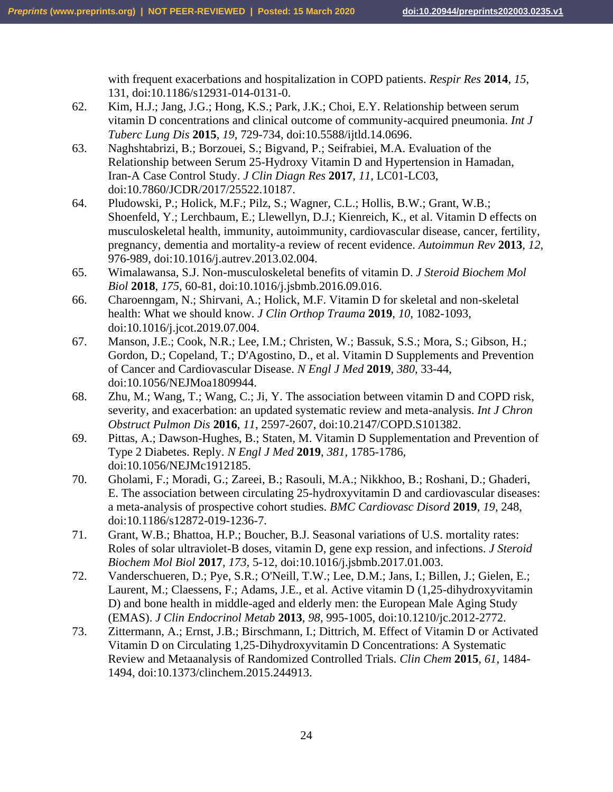with frequent exacerbations and hospitalization in COPD patients. *Respir Res* **2014**, *15*, 131, doi:10.1186/s12931-014-0131-0.

- 62. Kim, H.J.; Jang, J.G.; Hong, K.S.; Park, J.K.; Choi, E.Y. Relationship between serum vitamin D concentrations and clinical outcome of community-acquired pneumonia. *Int J Tuberc Lung Dis* **2015**, *19*, 729-734, doi:10.5588/ijtld.14.0696.
- 63. Naghshtabrizi, B.; Borzouei, S.; Bigvand, P.; Seifrabiei, M.A. Evaluation of the Relationship between Serum 25-Hydroxy Vitamin D and Hypertension in Hamadan, Iran-A Case Control Study. *J Clin Diagn Res* **2017**, *11*, LC01-LC03, doi:10.7860/JCDR/2017/25522.10187.
- 64. Pludowski, P.; Holick, M.F.; Pilz, S.; Wagner, C.L.; Hollis, B.W.; Grant, W.B.; Shoenfeld, Y.; Lerchbaum, E.; Llewellyn, D.J.; Kienreich, K., et al. Vitamin D effects on musculoskeletal health, immunity, autoimmunity, cardiovascular disease, cancer, fertility, pregnancy, dementia and mortality-a review of recent evidence. *Autoimmun Rev* **2013**, *12*, 976-989, doi:10.1016/j.autrev.2013.02.004.
- 65. Wimalawansa, S.J. Non-musculoskeletal benefits of vitamin D. *J Steroid Biochem Mol Biol* **2018**, *175*, 60-81, doi:10.1016/j.jsbmb.2016.09.016.
- 66. Charoenngam, N.; Shirvani, A.; Holick, M.F. Vitamin D for skeletal and non-skeletal health: What we should know. *J Clin Orthop Trauma* **2019**, *10*, 1082-1093, doi:10.1016/j.jcot.2019.07.004.
- 67. Manson, J.E.; Cook, N.R.; Lee, I.M.; Christen, W.; Bassuk, S.S.; Mora, S.; Gibson, H.; Gordon, D.; Copeland, T.; D'Agostino, D., et al. Vitamin D Supplements and Prevention of Cancer and Cardiovascular Disease. *N Engl J Med* **2019**, *380*, 33-44, doi:10.1056/NEJMoa1809944.
- 68. Zhu, M.; Wang, T.; Wang, C.; Ji, Y. The association between vitamin D and COPD risk, severity, and exacerbation: an updated systematic review and meta-analysis. *Int J Chron Obstruct Pulmon Dis* **2016**, *11*, 2597-2607, doi:10.2147/COPD.S101382.
- 69. Pittas, A.; Dawson-Hughes, B.; Staten, M. Vitamin D Supplementation and Prevention of Type 2 Diabetes. Reply. *N Engl J Med* **2019**, *381*, 1785-1786, doi:10.1056/NEJMc1912185.
- 70. Gholami, F.; Moradi, G.; Zareei, B.; Rasouli, M.A.; Nikkhoo, B.; Roshani, D.; Ghaderi, E. The association between circulating 25-hydroxyvitamin D and cardiovascular diseases: a meta-analysis of prospective cohort studies. *BMC Cardiovasc Disord* **2019**, *19*, 248, doi:10.1186/s12872-019-1236-7.
- 71. Grant, W.B.; Bhattoa, H.P.; Boucher, B.J. Seasonal variations of U.S. mortality rates: Roles of solar ultraviolet-B doses, vitamin D, gene exp ression, and infections. *J Steroid Biochem Mol Biol* **2017**, *173*, 5-12, doi:10.1016/j.jsbmb.2017.01.003.
- 72. Vanderschueren, D.; Pye, S.R.; O'Neill, T.W.; Lee, D.M.; Jans, I.; Billen, J.; Gielen, E.; Laurent, M.; Claessens, F.; Adams, J.E., et al. Active vitamin D (1,25-dihydroxyvitamin D) and bone health in middle-aged and elderly men: the European Male Aging Study (EMAS). *J Clin Endocrinol Metab* **2013**, *98*, 995-1005, doi:10.1210/jc.2012-2772.
- 73. Zittermann, A.; Ernst, J.B.; Birschmann, I.; Dittrich, M. Effect of Vitamin D or Activated Vitamin D on Circulating 1,25-Dihydroxyvitamin D Concentrations: A Systematic Review and Metaanalysis of Randomized Controlled Trials. *Clin Chem* **2015**, *61*, 1484- 1494, doi:10.1373/clinchem.2015.244913.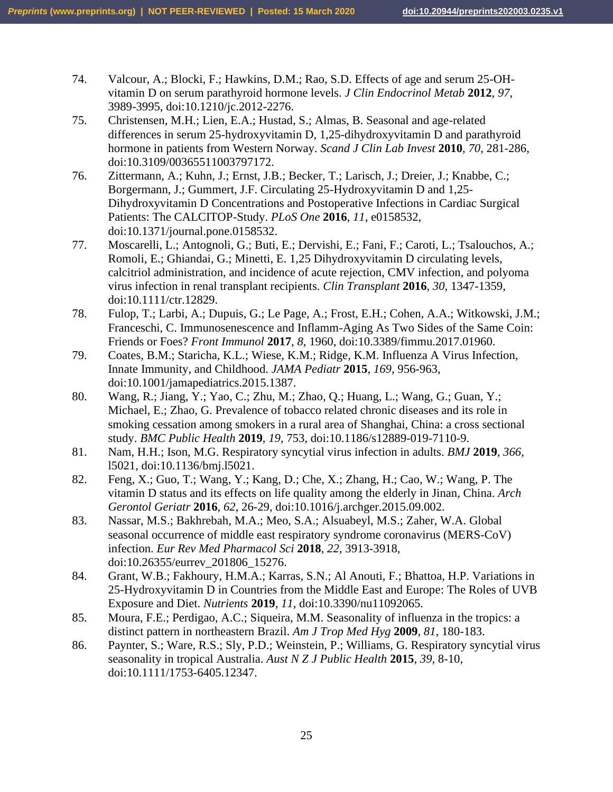- 74. Valcour, A.; Blocki, F.; Hawkins, D.M.; Rao, S.D. Effects of age and serum 25-OHvitamin D on serum parathyroid hormone levels. *J Clin Endocrinol Metab* **2012**, *97*, 3989-3995, doi:10.1210/jc.2012-2276.
- 75. Christensen, M.H.; Lien, E.A.; Hustad, S.; Almas, B. Seasonal and age-related differences in serum 25-hydroxyvitamin D, 1,25-dihydroxyvitamin D and parathyroid hormone in patients from Western Norway. *Scand J Clin Lab Invest* **2010**, *70*, 281-286, doi:10.3109/00365511003797172.
- 76. Zittermann, A.; Kuhn, J.; Ernst, J.B.; Becker, T.; Larisch, J.; Dreier, J.; Knabbe, C.; Borgermann, J.; Gummert, J.F. Circulating 25-Hydroxyvitamin D and 1,25- Dihydroxyvitamin D Concentrations and Postoperative Infections in Cardiac Surgical Patients: The CALCITOP-Study. *PLoS One* **2016**, *11*, e0158532, doi:10.1371/journal.pone.0158532.
- 77. Moscarelli, L.; Antognoli, G.; Buti, E.; Dervishi, E.; Fani, F.; Caroti, L.; Tsalouchos, A.; Romoli, E.; Ghiandai, G.; Minetti, E. 1,25 Dihydroxyvitamin D circulating levels, calcitriol administration, and incidence of acute rejection, CMV infection, and polyoma virus infection in renal transplant recipients. *Clin Transplant* **2016**, *30*, 1347-1359, doi:10.1111/ctr.12829.
- 78. Fulop, T.; Larbi, A.; Dupuis, G.; Le Page, A.; Frost, E.H.; Cohen, A.A.; Witkowski, J.M.; Franceschi, C. Immunosenescence and Inflamm-Aging As Two Sides of the Same Coin: Friends or Foes? *Front Immunol* **2017**, *8*, 1960, doi:10.3389/fimmu.2017.01960.
- 79. Coates, B.M.; Staricha, K.L.; Wiese, K.M.; Ridge, K.M. Influenza A Virus Infection, Innate Immunity, and Childhood. *JAMA Pediatr* **2015**, *169*, 956-963, doi:10.1001/jamapediatrics.2015.1387.
- 80. Wang, R.; Jiang, Y.; Yao, C.; Zhu, M.; Zhao, Q.; Huang, L.; Wang, G.; Guan, Y.; Michael, E.; Zhao, G. Prevalence of tobacco related chronic diseases and its role in smoking cessation among smokers in a rural area of Shanghai, China: a cross sectional study. *BMC Public Health* **2019**, *19*, 753, doi:10.1186/s12889-019-7110-9.
- 81. Nam, H.H.; Ison, M.G. Respiratory syncytial virus infection in adults. *BMJ* **2019**, *366*, l5021, doi:10.1136/bmj.l5021.
- 82. Feng, X.; Guo, T.; Wang, Y.; Kang, D.; Che, X.; Zhang, H.; Cao, W.; Wang, P. The vitamin D status and its effects on life quality among the elderly in Jinan, China. *Arch Gerontol Geriatr* **2016**, *62*, 26-29, doi:10.1016/j.archger.2015.09.002.
- 83. Nassar, M.S.; Bakhrebah, M.A.; Meo, S.A.; Alsuabeyl, M.S.; Zaher, W.A. Global seasonal occurrence of middle east respiratory syndrome coronavirus (MERS-CoV) infection. *Eur Rev Med Pharmacol Sci* **2018**, *22*, 3913-3918, doi:10.26355/eurrev\_201806\_15276.
- 84. Grant, W.B.; Fakhoury, H.M.A.; Karras, S.N.; Al Anouti, F.; Bhattoa, H.P. Variations in 25-Hydroxyvitamin D in Countries from the Middle East and Europe: The Roles of UVB Exposure and Diet. *Nutrients* **2019**, *11*, doi:10.3390/nu11092065.
- 85. Moura, F.E.; Perdigao, A.C.; Siqueira, M.M. Seasonality of influenza in the tropics: a distinct pattern in northeastern Brazil. *Am J Trop Med Hyg* **2009**, *81*, 180-183.
- 86. Paynter, S.; Ware, R.S.; Sly, P.D.; Weinstein, P.; Williams, G. Respiratory syncytial virus seasonality in tropical Australia. *Aust N Z J Public Health* **2015**, *39*, 8-10, doi:10.1111/1753-6405.12347.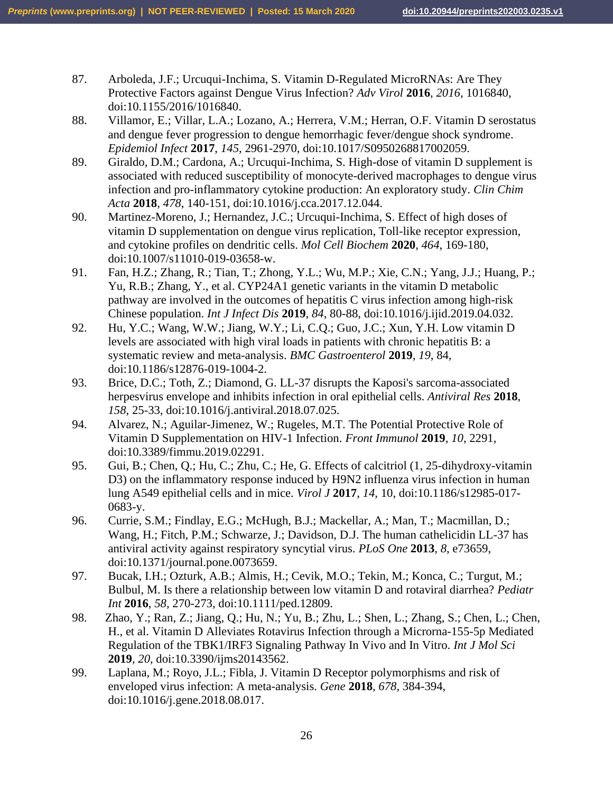- 87. Arboleda, J.F.; Urcuqui-Inchima, S. Vitamin D-Regulated MicroRNAs: Are They Protective Factors against Dengue Virus Infection? *Adv Virol* **2016**, *2016*, 1016840, doi:10.1155/2016/1016840.
- 88. Villamor, E.; Villar, L.A.; Lozano, A.; Herrera, V.M.; Herran, O.F. Vitamin D serostatus and dengue fever progression to dengue hemorrhagic fever/dengue shock syndrome. *Epidemiol Infect* **2017**, *145*, 2961-2970, doi:10.1017/S0950268817002059.
- 89. Giraldo, D.M.; Cardona, A.; Urcuqui-Inchima, S. High-dose of vitamin D supplement is associated with reduced susceptibility of monocyte-derived macrophages to dengue virus infection and pro-inflammatory cytokine production: An exploratory study. *Clin Chim Acta* **2018**, *478*, 140-151, doi:10.1016/j.cca.2017.12.044.
- 90. Martinez-Moreno, J.; Hernandez, J.C.; Urcuqui-Inchima, S. Effect of high doses of vitamin D supplementation on dengue virus replication, Toll-like receptor expression, and cytokine profiles on dendritic cells. *Mol Cell Biochem* **2020**, *464*, 169-180, doi:10.1007/s11010-019-03658-w.
- 91. Fan, H.Z.; Zhang, R.; Tian, T.; Zhong, Y.L.; Wu, M.P.; Xie, C.N.; Yang, J.J.; Huang, P.; Yu, R.B.; Zhang, Y., et al. CYP24A1 genetic variants in the vitamin D metabolic pathway are involved in the outcomes of hepatitis C virus infection among high-risk Chinese population. *Int J Infect Dis* **2019**, *84*, 80-88, doi:10.1016/j.ijid.2019.04.032.
- 92. Hu, Y.C.; Wang, W.W.; Jiang, W.Y.; Li, C.Q.; Guo, J.C.; Xun, Y.H. Low vitamin D levels are associated with high viral loads in patients with chronic hepatitis B: a systematic review and meta-analysis. *BMC Gastroenterol* **2019**, *19*, 84, doi:10.1186/s12876-019-1004-2.
- 93. Brice, D.C.; Toth, Z.; Diamond, G. LL-37 disrupts the Kaposi's sarcoma-associated herpesvirus envelope and inhibits infection in oral epithelial cells. *Antiviral Res* **2018**, *158*, 25-33, doi:10.1016/j.antiviral.2018.07.025.
- 94. Alvarez, N.; Aguilar-Jimenez, W.; Rugeles, M.T. The Potential Protective Role of Vitamin D Supplementation on HIV-1 Infection. *Front Immunol* **2019**, *10*, 2291, doi:10.3389/fimmu.2019.02291.
- 95. Gui, B.; Chen, Q.; Hu, C.; Zhu, C.; He, G. Effects of calcitriol (1, 25-dihydroxy-vitamin D3) on the inflammatory response induced by H9N2 influenza virus infection in human lung A549 epithelial cells and in mice. *Virol J* **2017**, *14*, 10, doi:10.1186/s12985-017- 0683-y.
- 96. Currie, S.M.; Findlay, E.G.; McHugh, B.J.; Mackellar, A.; Man, T.; Macmillan, D.; Wang, H.; Fitch, P.M.; Schwarze, J.; Davidson, D.J. The human cathelicidin LL-37 has antiviral activity against respiratory syncytial virus. *PLoS One* **2013**, *8*, e73659, doi:10.1371/journal.pone.0073659.
- 97. Bucak, I.H.; Ozturk, A.B.; Almis, H.; Cevik, M.O.; Tekin, M.; Konca, C.; Turgut, M.; Bulbul, M. Is there a relationship between low vitamin D and rotaviral diarrhea? *Pediatr Int* **2016**, *58*, 270-273, doi:10.1111/ped.12809.
- 98. Zhao, Y.; Ran, Z.; Jiang, Q.; Hu, N.; Yu, B.; Zhu, L.; Shen, L.; Zhang, S.; Chen, L.; Chen, H., et al. Vitamin D Alleviates Rotavirus Infection through a Microrna-155-5p Mediated Regulation of the TBK1/IRF3 Signaling Pathway In Vivo and In Vitro. *Int J Mol Sci*  **2019**, *20*, doi:10.3390/ijms20143562.
- 99. Laplana, M.; Royo, J.L.; Fibla, J. Vitamin D Receptor polymorphisms and risk of enveloped virus infection: A meta-analysis. *Gene* **2018**, *678*, 384-394, doi:10.1016/j.gene.2018.08.017.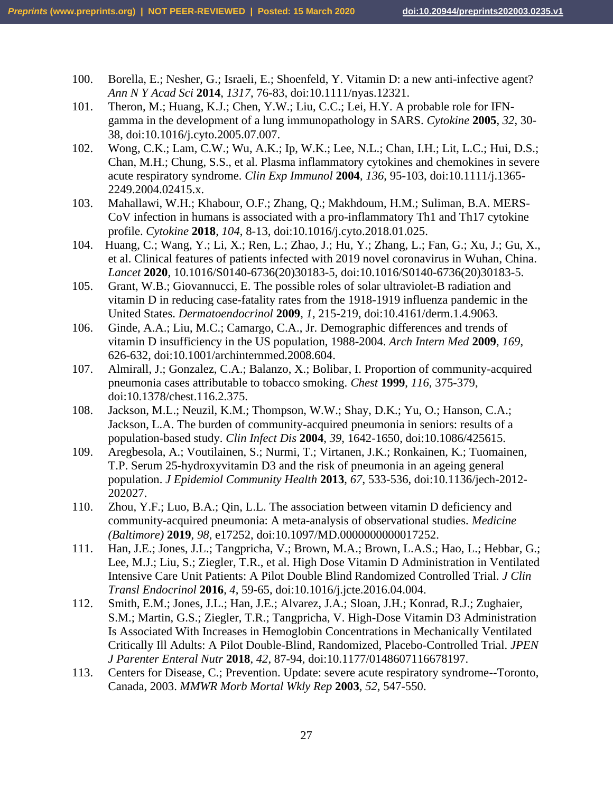- 100. Borella, E.; Nesher, G.; Israeli, E.; Shoenfeld, Y. Vitamin D: a new anti-infective agent? *Ann N Y Acad Sci* **2014**, *1317*, 76-83, doi:10.1111/nyas.12321.
- 101. Theron, M.; Huang, K.J.; Chen, Y.W.; Liu, C.C.; Lei, H.Y. A probable role for IFNgamma in the development of a lung immunopathology in SARS. *Cytokine* **2005**, *32*, 30- 38, doi:10.1016/j.cyto.2005.07.007.
- 102. Wong, C.K.; Lam, C.W.; Wu, A.K.; Ip, W.K.; Lee, N.L.; Chan, I.H.; Lit, L.C.; Hui, D.S.; Chan, M.H.; Chung, S.S., et al. Plasma inflammatory cytokines and chemokines in severe acute respiratory syndrome. *Clin Exp Immunol* **2004**, *136*, 95-103, doi:10.1111/j.1365- 2249.2004.02415.x.
- 103. Mahallawi, W.H.; Khabour, O.F.; Zhang, Q.; Makhdoum, H.M.; Suliman, B.A. MERS-CoV infection in humans is associated with a pro-inflammatory Th1 and Th17 cytokine profile. *Cytokine* **2018**, *104*, 8-13, doi:10.1016/j.cyto.2018.01.025.
- 104. Huang, C.; Wang, Y.; Li, X.; Ren, L.; Zhao, J.; Hu, Y.; Zhang, L.; Fan, G.; Xu, J.; Gu, X., et al. Clinical features of patients infected with 2019 novel coronavirus in Wuhan, China. *Lancet* **2020**, 10.1016/S0140-6736(20)30183-5, doi:10.1016/S0140-6736(20)30183-5.
- 105. Grant, W.B.; Giovannucci, E. The possible roles of solar ultraviolet-B radiation and vitamin D in reducing case-fatality rates from the 1918-1919 influenza pandemic in the United States. *Dermatoendocrinol* **2009**, *1*, 215-219, doi:10.4161/derm.1.4.9063.
- 106. Ginde, A.A.; Liu, M.C.; Camargo, C.A., Jr. Demographic differences and trends of vitamin D insufficiency in the US population, 1988-2004. *Arch Intern Med* **2009**, *169*, 626-632, doi:10.1001/archinternmed.2008.604.
- 107. Almirall, J.; Gonzalez, C.A.; Balanzo, X.; Bolibar, I. Proportion of community-acquired pneumonia cases attributable to tobacco smoking. *Chest* **1999**, *116*, 375-379, doi:10.1378/chest.116.2.375.
- 108. Jackson, M.L.; Neuzil, K.M.; Thompson, W.W.; Shay, D.K.; Yu, O.; Hanson, C.A.; Jackson, L.A. The burden of community-acquired pneumonia in seniors: results of a population-based study. *Clin Infect Dis* **2004**, *39*, 1642-1650, doi:10.1086/425615.
- 109. Aregbesola, A.; Voutilainen, S.; Nurmi, T.; Virtanen, J.K.; Ronkainen, K.; Tuomainen, T.P. Serum 25-hydroxyvitamin D3 and the risk of pneumonia in an ageing general population. *J Epidemiol Community Health* **2013**, *67*, 533-536, doi:10.1136/jech-2012- 202027.
- 110. Zhou, Y.F.; Luo, B.A.; Qin, L.L. The association between vitamin D deficiency and community-acquired pneumonia: A meta-analysis of observational studies. *Medicine (Baltimore)* **2019**, *98*, e17252, doi:10.1097/MD.0000000000017252.
- 111. Han, J.E.; Jones, J.L.; Tangpricha, V.; Brown, M.A.; Brown, L.A.S.; Hao, L.; Hebbar, G.; Lee, M.J.; Liu, S.; Ziegler, T.R., et al. High Dose Vitamin D Administration in Ventilated Intensive Care Unit Patients: A Pilot Double Blind Randomized Controlled Trial. *J Clin Transl Endocrinol* **2016**, *4*, 59-65, doi:10.1016/j.jcte.2016.04.004.
- 112. Smith, E.M.; Jones, J.L.; Han, J.E.; Alvarez, J.A.; Sloan, J.H.; Konrad, R.J.; Zughaier, S.M.; Martin, G.S.; Ziegler, T.R.; Tangpricha, V. High-Dose Vitamin D3 Administration Is Associated With Increases in Hemoglobin Concentrations in Mechanically Ventilated Critically Ill Adults: A Pilot Double-Blind, Randomized, Placebo-Controlled Trial. *JPEN J Parenter Enteral Nutr* **2018**, *42*, 87-94, doi:10.1177/0148607116678197.
- 113. Centers for Disease, C.; Prevention. Update: severe acute respiratory syndrome--Toronto, Canada, 2003. *MMWR Morb Mortal Wkly Rep* **2003**, *52*, 547-550.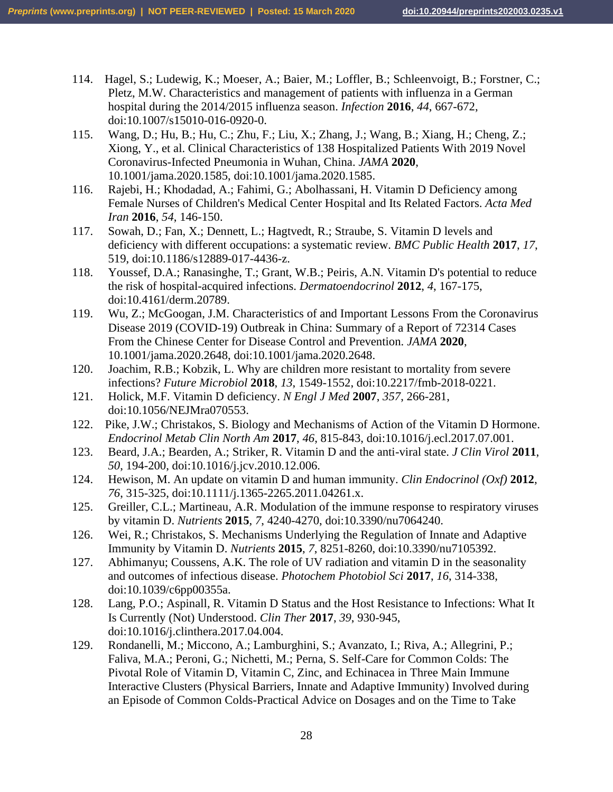- 114. Hagel, S.; Ludewig, K.; Moeser, A.; Baier, M.; Loffler, B.; Schleenvoigt, B.; Forstner, C.; Pletz, M.W. Characteristics and management of patients with influenza in a German hospital during the 2014/2015 influenza season. *Infection* **2016**, *44*, 667-672, doi:10.1007/s15010-016-0920-0.
- 115. Wang, D.; Hu, B.; Hu, C.; Zhu, F.; Liu, X.; Zhang, J.; Wang, B.; Xiang, H.; Cheng, Z.; Xiong, Y., et al. Clinical Characteristics of 138 Hospitalized Patients With 2019 Novel Coronavirus-Infected Pneumonia in Wuhan, China. *JAMA* **2020**, 10.1001/jama.2020.1585, doi:10.1001/jama.2020.1585.
- 116. Rajebi, H.; Khodadad, A.; Fahimi, G.; Abolhassani, H. Vitamin D Deficiency among Female Nurses of Children's Medical Center Hospital and Its Related Factors. *Acta Med Iran* **2016**, *54*, 146-150.
- 117. Sowah, D.; Fan, X.; Dennett, L.; Hagtvedt, R.; Straube, S. Vitamin D levels and deficiency with different occupations: a systematic review. *BMC Public Health* **2017**, *17*, 519, doi:10.1186/s12889-017-4436-z.
- 118. Youssef, D.A.; Ranasinghe, T.; Grant, W.B.; Peiris, A.N. Vitamin D's potential to reduce the risk of hospital-acquired infections. *Dermatoendocrinol* **2012**, *4*, 167-175, doi:10.4161/derm.20789.
- 119. Wu, Z.; McGoogan, J.M. Characteristics of and Important Lessons From the Coronavirus Disease 2019 (COVID-19) Outbreak in China: Summary of a Report of 72314 Cases From the Chinese Center for Disease Control and Prevention. *JAMA* **2020**, 10.1001/jama.2020.2648, doi:10.1001/jama.2020.2648.
- 120. Joachim, R.B.; Kobzik, L. Why are children more resistant to mortality from severe infections? *Future Microbiol* **2018**, *13*, 1549-1552, doi:10.2217/fmb-2018-0221.
- 121. Holick, M.F. Vitamin D deficiency. *N Engl J Med* **2007**, *357*, 266-281, doi:10.1056/NEJMra070553.
- 122. Pike, J.W.; Christakos, S. Biology and Mechanisms of Action of the Vitamin D Hormone. *Endocrinol Metab Clin North Am* **2017**, *46*, 815-843, doi:10.1016/j.ecl.2017.07.001.
- 123. Beard, J.A.; Bearden, A.; Striker, R. Vitamin D and the anti-viral state. *J Clin Virol* **2011**, *50*, 194-200, doi:10.1016/j.jcv.2010.12.006.
- 124. Hewison, M. An update on vitamin D and human immunity. *Clin Endocrinol (Oxf)* **2012**, *76*, 315-325, doi:10.1111/j.1365-2265.2011.04261.x.
- 125. Greiller, C.L.; Martineau, A.R. Modulation of the immune response to respiratory viruses by vitamin D. *Nutrients* **2015**, *7*, 4240-4270, doi:10.3390/nu7064240.
- 126. Wei, R.; Christakos, S. Mechanisms Underlying the Regulation of Innate and Adaptive Immunity by Vitamin D. *Nutrients* **2015**, *7*, 8251-8260, doi:10.3390/nu7105392.
- 127. Abhimanyu; Coussens, A.K. The role of UV radiation and vitamin D in the seasonality and outcomes of infectious disease. *Photochem Photobiol Sci* **2017**, *16*, 314-338, doi:10.1039/c6pp00355a.
- 128. Lang, P.O.; Aspinall, R. Vitamin D Status and the Host Resistance to Infections: What It Is Currently (Not) Understood. *Clin Ther* **2017**, *39*, 930-945, doi:10.1016/j.clinthera.2017.04.004.
- 129. Rondanelli, M.; Miccono, A.; Lamburghini, S.; Avanzato, I.; Riva, A.; Allegrini, P.; Faliva, M.A.; Peroni, G.; Nichetti, M.; Perna, S. Self-Care for Common Colds: The Pivotal Role of Vitamin D, Vitamin C, Zinc, and Echinacea in Three Main Immune Interactive Clusters (Physical Barriers, Innate and Adaptive Immunity) Involved during an Episode of Common Colds-Practical Advice on Dosages and on the Time to Take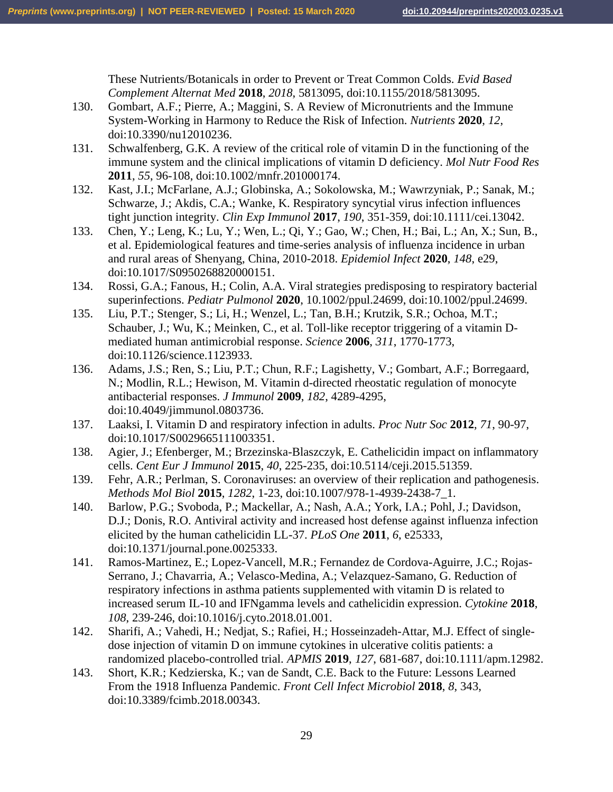These Nutrients/Botanicals in order to Prevent or Treat Common Colds. *Evid Based Complement Alternat Med* **2018**, *2018*, 5813095, doi:10.1155/2018/5813095.

- 130. Gombart, A.F.; Pierre, A.; Maggini, S. A Review of Micronutrients and the Immune System-Working in Harmony to Reduce the Risk of Infection. *Nutrients* **2020**, *12*, doi:10.3390/nu12010236.
- 131. Schwalfenberg, G.K. A review of the critical role of vitamin D in the functioning of the immune system and the clinical implications of vitamin D deficiency. *Mol Nutr Food Res*  **2011**, *55*, 96-108, doi:10.1002/mnfr.201000174.
- 132. Kast, J.I.; McFarlane, A.J.; Globinska, A.; Sokolowska, M.; Wawrzyniak, P.; Sanak, M.; Schwarze, J.; Akdis, C.A.; Wanke, K. Respiratory syncytial virus infection influences tight junction integrity. *Clin Exp Immunol* **2017**, *190*, 351-359, doi:10.1111/cei.13042.
- 133. Chen, Y.; Leng, K.; Lu, Y.; Wen, L.; Qi, Y.; Gao, W.; Chen, H.; Bai, L.; An, X.; Sun, B., et al. Epidemiological features and time-series analysis of influenza incidence in urban and rural areas of Shenyang, China, 2010-2018. *Epidemiol Infect* **2020**, *148*, e29, doi:10.1017/S0950268820000151.
- 134. Rossi, G.A.; Fanous, H.; Colin, A.A. Viral strategies predisposing to respiratory bacterial superinfections. *Pediatr Pulmonol* **2020**, 10.1002/ppul.24699, doi:10.1002/ppul.24699.
- 135. Liu, P.T.; Stenger, S.; Li, H.; Wenzel, L.; Tan, B.H.; Krutzik, S.R.; Ochoa, M.T.; Schauber, J.; Wu, K.; Meinken, C., et al. Toll-like receptor triggering of a vitamin Dmediated human antimicrobial response. *Science* **2006**, *311*, 1770-1773, doi:10.1126/science.1123933.
- 136. Adams, J.S.; Ren, S.; Liu, P.T.; Chun, R.F.; Lagishetty, V.; Gombart, A.F.; Borregaard, N.; Modlin, R.L.; Hewison, M. Vitamin d-directed rheostatic regulation of monocyte antibacterial responses. *J Immunol* **2009**, *182*, 4289-4295, doi:10.4049/jimmunol.0803736.
- 137. Laaksi, I. Vitamin D and respiratory infection in adults. *Proc Nutr Soc* **2012**, *71*, 90-97, doi:10.1017/S0029665111003351.
- 138. Agier, J.; Efenberger, M.; Brzezinska-Blaszczyk, E. Cathelicidin impact on inflammatory cells. *Cent Eur J Immunol* **2015**, *40*, 225-235, doi:10.5114/ceji.2015.51359.
- 139. Fehr, A.R.; Perlman, S. Coronaviruses: an overview of their replication and pathogenesis. *Methods Mol Biol* **2015**, *1282*, 1-23, doi:10.1007/978-1-4939-2438-7\_1.
- 140. Barlow, P.G.; Svoboda, P.; Mackellar, A.; Nash, A.A.; York, I.A.; Pohl, J.; Davidson, D.J.; Donis, R.O. Antiviral activity and increased host defense against influenza infection elicited by the human cathelicidin LL-37. *PLoS One* **2011**, *6*, e25333, doi:10.1371/journal.pone.0025333.
- 141. Ramos-Martinez, E.; Lopez-Vancell, M.R.; Fernandez de Cordova-Aguirre, J.C.; Rojas-Serrano, J.; Chavarria, A.; Velasco-Medina, A.; Velazquez-Samano, G. Reduction of respiratory infections in asthma patients supplemented with vitamin D is related to increased serum IL-10 and IFNgamma levels and cathelicidin expression. *Cytokine* **2018**, *108*, 239-246, doi:10.1016/j.cyto.2018.01.001.
- 142. Sharifi, A.; Vahedi, H.; Nedjat, S.; Rafiei, H.; Hosseinzadeh-Attar, M.J. Effect of singledose injection of vitamin D on immune cytokines in ulcerative colitis patients: a randomized placebo-controlled trial. *APMIS* **2019**, *127*, 681-687, doi:10.1111/apm.12982.
- 143. Short, K.R.; Kedzierska, K.; van de Sandt, C.E. Back to the Future: Lessons Learned From the 1918 Influenza Pandemic. *Front Cell Infect Microbiol* **2018**, *8*, 343, doi:10.3389/fcimb.2018.00343.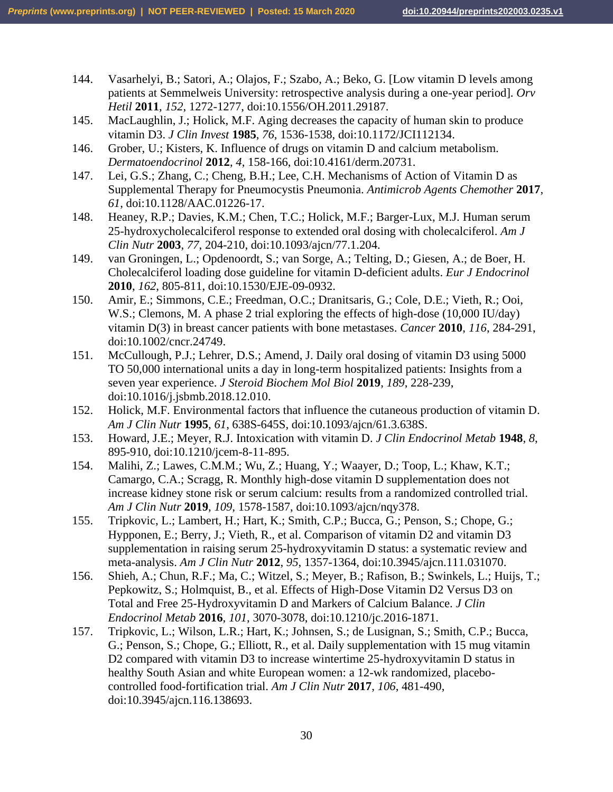- 144. Vasarhelyi, B.; Satori, A.; Olajos, F.; Szabo, A.; Beko, G. [Low vitamin D levels among patients at Semmelweis University: retrospective analysis during a one-year period]. *Orv Hetil* **2011**, *152*, 1272-1277, doi:10.1556/OH.2011.29187.
- 145. MacLaughlin, J.; Holick, M.F. Aging decreases the capacity of human skin to produce vitamin D3. *J Clin Invest* **1985**, *76*, 1536-1538, doi:10.1172/JCI112134.
- 146. Grober, U.; Kisters, K. Influence of drugs on vitamin D and calcium metabolism. *Dermatoendocrinol* **2012**, *4*, 158-166, doi:10.4161/derm.20731.
- 147. Lei, G.S.; Zhang, C.; Cheng, B.H.; Lee, C.H. Mechanisms of Action of Vitamin D as Supplemental Therapy for Pneumocystis Pneumonia. *Antimicrob Agents Chemother* **2017**, *61*, doi:10.1128/AAC.01226-17.
- 148. Heaney, R.P.; Davies, K.M.; Chen, T.C.; Holick, M.F.; Barger-Lux, M.J. Human serum 25-hydroxycholecalciferol response to extended oral dosing with cholecalciferol. *Am J Clin Nutr* **2003**, *77*, 204-210, doi:10.1093/ajcn/77.1.204.
- 149. van Groningen, L.; Opdenoordt, S.; van Sorge, A.; Telting, D.; Giesen, A.; de Boer, H. Cholecalciferol loading dose guideline for vitamin D-deficient adults. *Eur J Endocrinol*  **2010**, *162*, 805-811, doi:10.1530/EJE-09-0932.
- 150. Amir, E.; Simmons, C.E.; Freedman, O.C.; Dranitsaris, G.; Cole, D.E.; Vieth, R.; Ooi, W.S.; Clemons, M. A phase 2 trial exploring the effects of high-dose (10,000 IU/day) vitamin D(3) in breast cancer patients with bone metastases. *Cancer* **2010**, *116*, 284-291, doi:10.1002/cncr.24749.
- 151. McCullough, P.J.; Lehrer, D.S.; Amend, J. Daily oral dosing of vitamin D3 using 5000 TO 50,000 international units a day in long-term hospitalized patients: Insights from a seven year experience. *J Steroid Biochem Mol Biol* **2019**, *189*, 228-239, doi:10.1016/j.jsbmb.2018.12.010.
- 152. Holick, M.F. Environmental factors that influence the cutaneous production of vitamin D. *Am J Clin Nutr* **1995**, *61*, 638S-645S, doi:10.1093/ajcn/61.3.638S.
- 153. Howard, J.E.; Meyer, R.J. Intoxication with vitamin D. *J Clin Endocrinol Metab* **1948**, *8*, 895-910, doi:10.1210/jcem-8-11-895.
- 154. Malihi, Z.; Lawes, C.M.M.; Wu, Z.; Huang, Y.; Waayer, D.; Toop, L.; Khaw, K.T.; Camargo, C.A.; Scragg, R. Monthly high-dose vitamin D supplementation does not increase kidney stone risk or serum calcium: results from a randomized controlled trial. *Am J Clin Nutr* **2019**, *109*, 1578-1587, doi:10.1093/ajcn/nqy378.
- 155. Tripkovic, L.; Lambert, H.; Hart, K.; Smith, C.P.; Bucca, G.; Penson, S.; Chope, G.; Hypponen, E.; Berry, J.; Vieth, R., et al. Comparison of vitamin D2 and vitamin D3 supplementation in raising serum 25-hydroxyvitamin D status: a systematic review and meta-analysis. *Am J Clin Nutr* **2012**, *95*, 1357-1364, doi:10.3945/ajcn.111.031070.
- 156. Shieh, A.; Chun, R.F.; Ma, C.; Witzel, S.; Meyer, B.; Rafison, B.; Swinkels, L.; Huijs, T.; Pepkowitz, S.; Holmquist, B., et al. Effects of High-Dose Vitamin D2 Versus D3 on Total and Free 25-Hydroxyvitamin D and Markers of Calcium Balance. *J Clin Endocrinol Metab* **2016**, *101*, 3070-3078, doi:10.1210/jc.2016-1871.
- 157. Tripkovic, L.; Wilson, L.R.; Hart, K.; Johnsen, S.; de Lusignan, S.; Smith, C.P.; Bucca, G.; Penson, S.; Chope, G.; Elliott, R., et al. Daily supplementation with 15 mug vitamin D2 compared with vitamin D3 to increase wintertime 25-hydroxyvitamin D status in healthy South Asian and white European women: a 12-wk randomized, placebocontrolled food-fortification trial. *Am J Clin Nutr* **2017**, *106*, 481-490, doi:10.3945/ajcn.116.138693.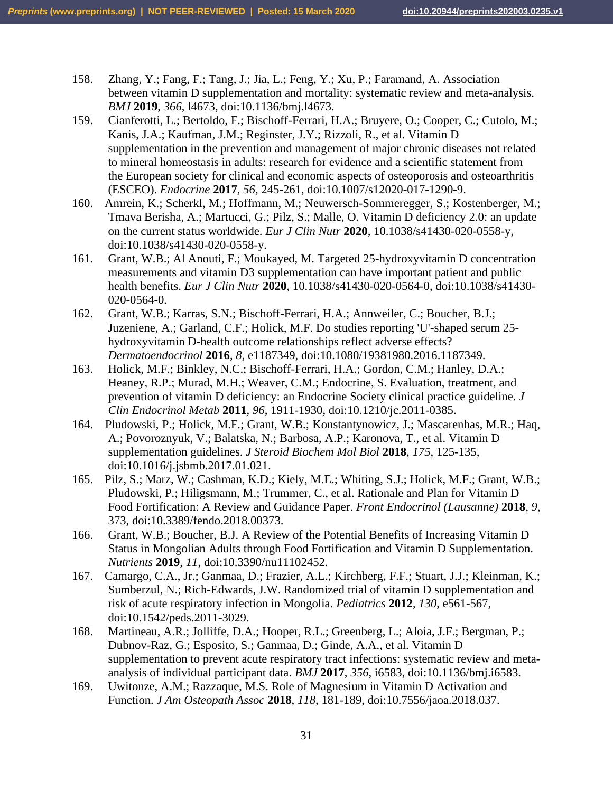- 158. Zhang, Y.; Fang, F.; Tang, J.; Jia, L.; Feng, Y.; Xu, P.; Faramand, A. Association between vitamin D supplementation and mortality: systematic review and meta-analysis. *BMJ* **2019**, *366*, l4673, doi:10.1136/bmj.l4673.
- 159. Cianferotti, L.; Bertoldo, F.; Bischoff-Ferrari, H.A.; Bruyere, O.; Cooper, C.; Cutolo, M.; Kanis, J.A.; Kaufman, J.M.; Reginster, J.Y.; Rizzoli, R., et al. Vitamin D supplementation in the prevention and management of major chronic diseases not related to mineral homeostasis in adults: research for evidence and a scientific statement from the European society for clinical and economic aspects of osteoporosis and osteoarthritis (ESCEO). *Endocrine* **2017**, *56*, 245-261, doi:10.1007/s12020-017-1290-9.
- 160. Amrein, K.; Scherkl, M.; Hoffmann, M.; Neuwersch-Sommeregger, S.; Kostenberger, M.; Tmava Berisha, A.; Martucci, G.; Pilz, S.; Malle, O. Vitamin D deficiency 2.0: an update on the current status worldwide. *Eur J Clin Nutr* **2020**, 10.1038/s41430-020-0558-y, doi:10.1038/s41430-020-0558-y.
- 161. Grant, W.B.; Al Anouti, F.; Moukayed, M. Targeted 25-hydroxyvitamin D concentration measurements and vitamin D3 supplementation can have important patient and public health benefits. *Eur J Clin Nutr* **2020**, 10.1038/s41430-020-0564-0, doi:10.1038/s41430- 020-0564-0.
- 162. Grant, W.B.; Karras, S.N.; Bischoff-Ferrari, H.A.; Annweiler, C.; Boucher, B.J.; Juzeniene, A.; Garland, C.F.; Holick, M.F. Do studies reporting 'U'-shaped serum 25 hydroxyvitamin D-health outcome relationships reflect adverse effects? *Dermatoendocrinol* **2016**, *8*, e1187349, doi:10.1080/19381980.2016.1187349.
- 163. Holick, M.F.; Binkley, N.C.; Bischoff-Ferrari, H.A.; Gordon, C.M.; Hanley, D.A.; Heaney, R.P.; Murad, M.H.; Weaver, C.M.; Endocrine, S. Evaluation, treatment, and prevention of vitamin D deficiency: an Endocrine Society clinical practice guideline. *J Clin Endocrinol Metab* **2011**, *96*, 1911-1930, doi:10.1210/jc.2011-0385.
- 164. Pludowski, P.; Holick, M.F.; Grant, W.B.; Konstantynowicz, J.; Mascarenhas, M.R.; Haq, A.; Povoroznyuk, V.; Balatska, N.; Barbosa, A.P.; Karonova, T., et al. Vitamin D supplementation guidelines. *J Steroid Biochem Mol Biol* **2018**, *175*, 125-135, doi:10.1016/j.jsbmb.2017.01.021.
- 165. Pilz, S.; Marz, W.; Cashman, K.D.; Kiely, M.E.; Whiting, S.J.; Holick, M.F.; Grant, W.B.; Pludowski, P.; Hiligsmann, M.; Trummer, C., et al. Rationale and Plan for Vitamin D Food Fortification: A Review and Guidance Paper. *Front Endocrinol (Lausanne)* **2018**, *9*, 373, doi:10.3389/fendo.2018.00373.
- 166. Grant, W.B.; Boucher, B.J. A Review of the Potential Benefits of Increasing Vitamin D Status in Mongolian Adults through Food Fortification and Vitamin D Supplementation. *Nutrients* **2019**, *11*, doi:10.3390/nu11102452.
- 167. Camargo, C.A., Jr.; Ganmaa, D.; Frazier, A.L.; Kirchberg, F.F.; Stuart, J.J.; Kleinman, K.; Sumberzul, N.; Rich-Edwards, J.W. Randomized trial of vitamin D supplementation and risk of acute respiratory infection in Mongolia. *Pediatrics* **2012**, *130*, e561-567, doi:10.1542/peds.2011-3029.
- 168. Martineau, A.R.; Jolliffe, D.A.; Hooper, R.L.; Greenberg, L.; Aloia, J.F.; Bergman, P.; Dubnov-Raz, G.; Esposito, S.; Ganmaa, D.; Ginde, A.A., et al. Vitamin D supplementation to prevent acute respiratory tract infections: systematic review and metaanalysis of individual participant data. *BMJ* **2017**, *356*, i6583, doi:10.1136/bmj.i6583.
- 169. Uwitonze, A.M.; Razzaque, M.S. Role of Magnesium in Vitamin D Activation and Function. *J Am Osteopath Assoc* **2018**, *118*, 181-189, doi:10.7556/jaoa.2018.037.